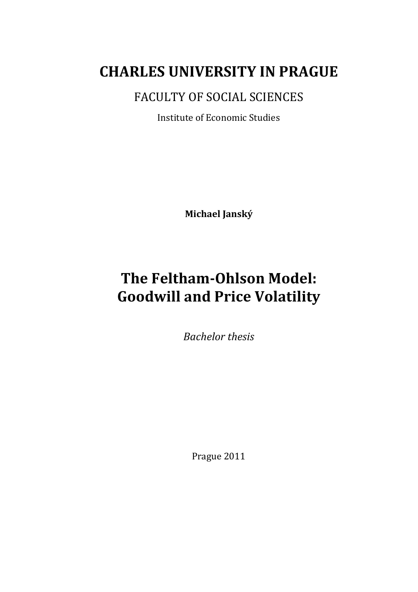# **CHARLES UNIVERSITY IN PRAGUE**

FACULTY OF SOCIAL SCIENCES

Institute of Economic Studies

**Michael Janský**

# **The Feltham-Ohlson Model: Goodwill and Price Volatility**

*Bachelor thesis*

Prague 2011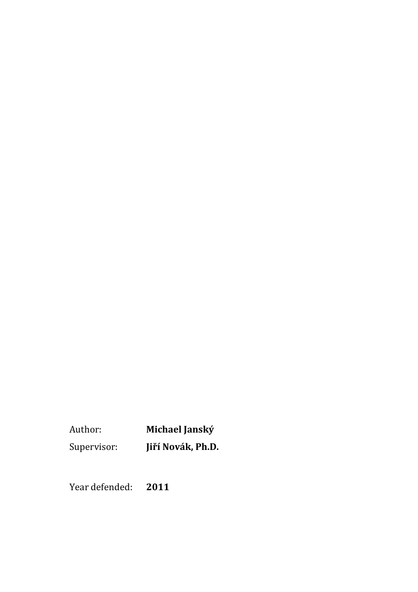Author: **Michael Janský** Supervisor: **Jiří Novák, Ph.D.**

Year defended: **2011**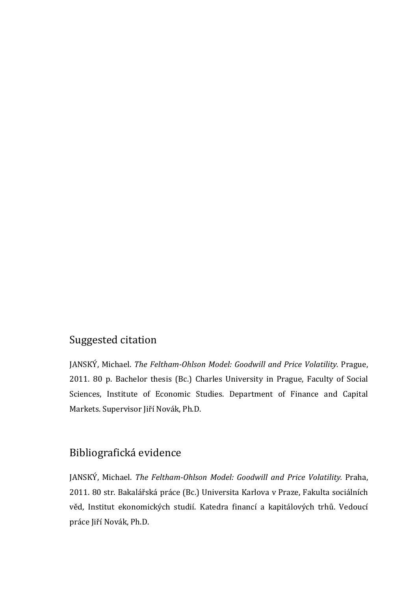## Suggested citation

JANSKÝ, Michael. *The Feltham-Ohlson Model: Goodwill and Price Volatility.* Prague, 2011. 80 p. Bachelor thesis (Bc.) Charles University in Prague, Faculty of Social Sciences, Institute of Economic Studies. Department of Finance and Capital Markets. Supervisor Jiří Novák, Ph.D.

### Bibliografická evidence

JANSKÝ, Michael. *The Feltham-Ohlson Model: Goodwill and Price Volatility.* Praha, 2011. 80 str. Bakalářská práce (Bc.) Universita Karlova v Praze, Fakulta sociálních věd, Institut ekonomických studií. Katedra financí a kapitálových trhů. Vedoucí práce Jiří Novák, Ph.D.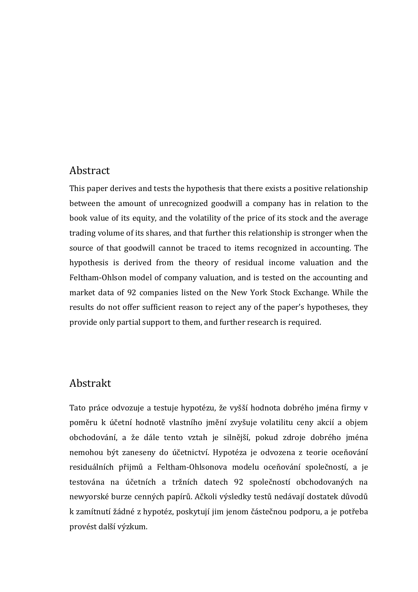### Abstract

This paper derives and tests the hypothesis that there exists a positive relationship between the amount of unrecognized goodwill a company has in relation to the book value of its equity, and the volatility of the price of its stock and the average trading volume of its shares, and that further this relationship is stronger when the source of that goodwill cannot be traced to items recognized in accounting. The hypothesis is derived from the theory of residual income valuation and the Feltham-Ohlson model of company valuation, and is tested on the accounting and market data of 92 companies listed on the New York Stock Exchange. While the results do not offer sufficient reason to reject any of the paper's hypotheses, they provide only partial support to them, and further research is required.

### Abstrakt

Tato práce odvozuje a testuje hypotézu, že vyšší hodnota dobrého jména firmy v poměru k účetní hodnotě vlastního jmění zvyšuje volatilitu ceny akcií a objem obchodování, a že dále tento vztah je silnější, pokud zdroje dobrého jména nemohou být zaneseny do účetnictví. Hypotéza je odvozena z teorie oceňování residuálních přijmů a Feltham-Ohlsonova modelu oceňování společností, a je testována na účetních a tržních datech 92 společností obchodovaných na newyorské burze cenných papírů. Ačkoli výsledky testů nedávají dostatek důvodů k zamítnutí žádné z hypotéz, poskytují jim jenom částečnou podporu, a je potřeba provést další výzkum.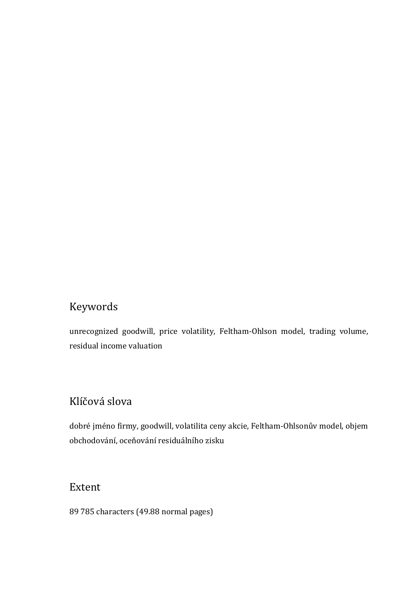## Keywords

unrecognized goodwill, price volatility, Feltham-Ohlson model, trading volume, residual income valuation

## Klíčová slova

dobré jméno firmy, goodwill, volatilita ceny akcie, Feltham-Ohlsonův model, objem obchodování, oceňování residuálního zisku

## Extent

89 785 characters (49.88 normal pages)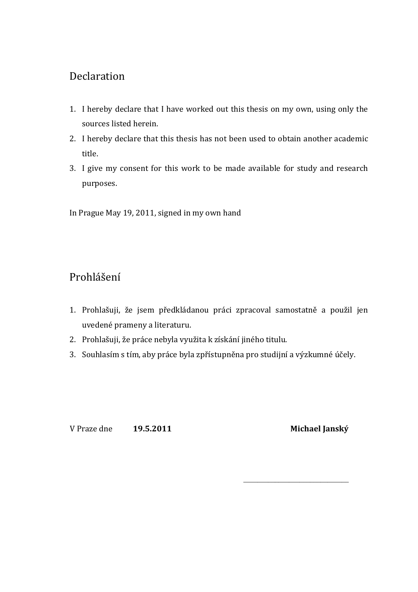## Declaration

- 1. I hereby declare that I have worked out this thesis on my own, using only the sources listed herein.
- 2. I hereby declare that this thesis has not been used to obtain another academic title.
- 3. I give my consent for this work to be made available for study and research purposes.

In Prague May 19, 2011, signed in my own hand

## Prohlášení

- 1. Prohlašuji, že jsem předkládanou práci zpracoval samostatně a použil jen uvedené prameny a literaturu.
- 2. Prohlašuji, že práce nebyla využita k získání jiného titulu.
- 3. Souhlasím s tím, aby práce byla zpřístupněna pro studijní a výzkumné účely.

V Praze dne **19.5.2011 Michael Janský**

\_\_\_\_\_\_\_\_\_\_\_\_\_\_\_\_\_\_\_\_\_\_\_\_\_\_\_\_\_\_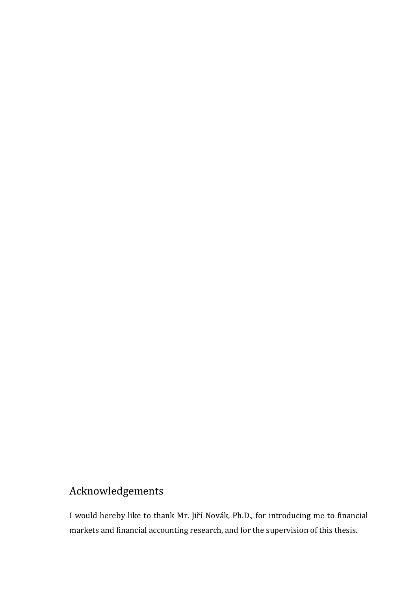## Acknowledgements

I would hereby like to thank Mr. Jiří Novák, Ph.D., for introducing me to financial markets and financial accounting research, and for the supervision of this thesis.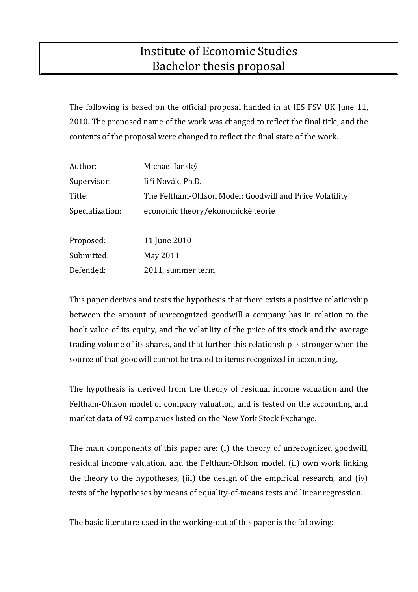## Institute of Economic Studies Bachelor thesis proposal

The following is based on the official proposal handed in at IES FSV UK June 11, 2010. The proposed name of the work was changed to reflect the final title, and the contents of the proposal were changed to reflect the final state of the work.

| Author:         | Michael Janský                                          |
|-----------------|---------------------------------------------------------|
| Supervisor:     | Jiří Novák, Ph.D.                                       |
| Title:          | The Feltham-Ohlson Model: Goodwill and Price Volatility |
| Specialization: | economic theory/ekonomické teorie                       |
|                 |                                                         |
| Proposed:       | 11 June 2010                                            |
| Submitted:      | May 2011                                                |

Defended: 2011, summer term

This paper derives and tests the hypothesis that there exists a positive relationship between the amount of unrecognized goodwill a company has in relation to the book value of its equity, and the volatility of the price of its stock and the average trading volume of its shares, and that further this relationship is stronger when the source of that goodwill cannot be traced to items recognized in accounting.

The hypothesis is derived from the theory of residual income valuation and the Feltham-Ohlson model of company valuation, and is tested on the accounting and market data of 92 companies listed on the New York Stock Exchange.

The main components of this paper are: (i) the theory of unrecognized goodwill, residual income valuation, and the Feltham-Ohlson model, (ii) own work linking the theory to the hypotheses, (iii) the design of the empirical research, and (iv) tests of the hypotheses by means of equality-of-means tests and linear regression.

The basic literature used in the working-out of this paper is the following: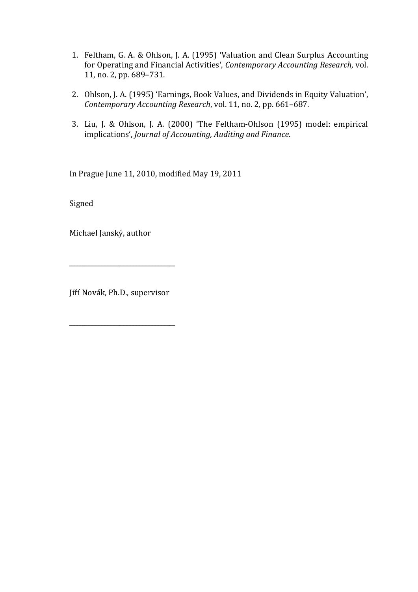- 1. Feltham, G. A. & Ohlson, J. A. (1995) 'Valuation and Clean Surplus Accounting for Operating and Financial Activities', *Contemporary Accounting Research*, vol. 11, no. 2, pp. 689–731.
- 2. Ohlson, J. A. (1995) 'Earnings, Book Values, and Dividends in Equity Valuation', *Contemporary Accounting Research*, vol. 11, no. 2, pp. 661–687.
- 3. Liu, J. & Ohlson, J. A. (2000) 'The Feltham-Ohlson (1995) model: empirical implications', *Journal of Accounting, Auditing and Finance*.

In Prague June 11, 2010, modified May 19, 2011

Signed

Michael Janský, author

Jiří Novák, Ph.D., supervisor

\_\_\_\_\_\_\_\_\_\_\_\_\_\_\_\_\_\_\_\_\_\_\_\_\_\_\_\_\_\_\_\_\_\_

\_\_\_\_\_\_\_\_\_\_\_\_\_\_\_\_\_\_\_\_\_\_\_\_\_\_\_\_\_\_\_\_\_\_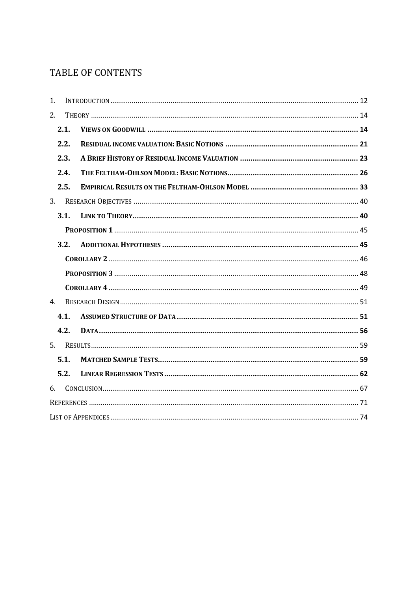## TABLE OF CONTENTS

| $\mathbf{1}$ . |      |  |  |  |  |
|----------------|------|--|--|--|--|
| 2.             |      |  |  |  |  |
| 2.1.           |      |  |  |  |  |
|                | 2.2. |  |  |  |  |
|                | 2.3. |  |  |  |  |
|                | 2.4. |  |  |  |  |
|                | 2.5. |  |  |  |  |
| 3.             |      |  |  |  |  |
|                | 3.1. |  |  |  |  |
|                |      |  |  |  |  |
|                | 3.2. |  |  |  |  |
|                |      |  |  |  |  |
|                |      |  |  |  |  |
|                |      |  |  |  |  |
| 4.             |      |  |  |  |  |
|                | 4.1. |  |  |  |  |
|                | 4.2. |  |  |  |  |
|                |      |  |  |  |  |
|                | 5.1. |  |  |  |  |
|                | 5.2. |  |  |  |  |
| 6.             |      |  |  |  |  |
|                |      |  |  |  |  |
|                |      |  |  |  |  |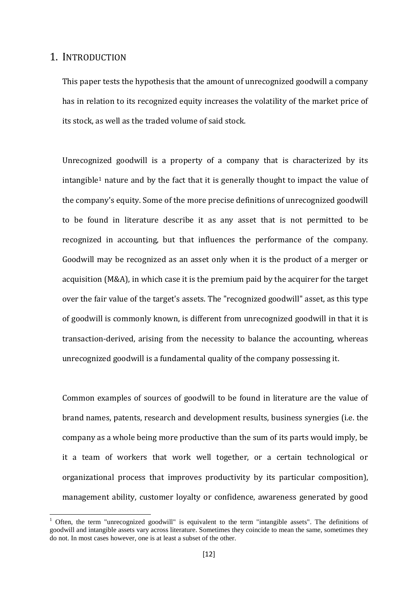### <span id="page-10-0"></span>1. INTRODUCTION

This paper tests the hypothesis that the amount of unrecognized goodwill a company has in relation to its recognized equity increases the volatility of the market price of its stock, as well as the traded volume of said stock.

Unrecognized goodwill is a property of a company that is characterized by its  $intangible<sup>1</sup>$  $intangible<sup>1</sup>$  $intangible<sup>1</sup>$  nature and by the fact that it is generally thought to impact the value of the company's equity. Some of the more precise definitions of unrecognized goodwill to be found in literature describe it as any asset that is not permitted to be recognized in accounting, but that influences the performance of the company. Goodwill may be recognized as an asset only when it is the product of a merger or acquisition (M&A), in which case it is the premium paid by the acquirer for the target over the fair value of the target's assets. The "recognized goodwill" asset, as this type of goodwill is commonly known, is different from unrecognized goodwill in that it is transaction-derived, arising from the necessity to balance the accounting, whereas unrecognized goodwill is a fundamental quality of the company possessing it.

Common examples of sources of goodwill to be found in literature are the value of brand names, patents, research and development results, business synergies (i.e. the company as a whole being more productive than the sum of its parts would imply, be it a team of workers that work well together, or a certain technological or organizational process that improves productivity by its particular composition), management ability, customer loyalty or confidence, awareness generated by good

<span id="page-10-1"></span> $1$  Often, the term "unrecognized goodwill" is equivalent to the term "intangible assets". The definitions of goodwill and intangible assets vary across literature. Sometimes they coincide to mean the same, sometimes they do not. In most cases however, one is at least a subset of the other.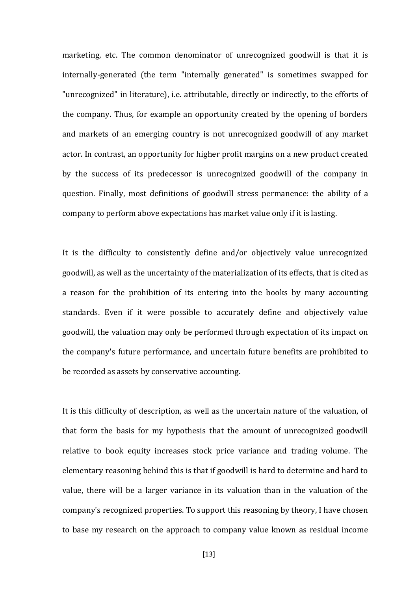marketing, etc. The common denominator of unrecognized goodwill is that it is internally-generated (the term "internally generated" is sometimes swapped for "unrecognized" in literature), i.e. attributable, directly or indirectly, to the efforts of the company. Thus, for example an opportunity created by the opening of borders and markets of an emerging country is not unrecognized goodwill of any market actor. In contrast, an opportunity for higher profit margins on a new product created by the success of its predecessor is unrecognized goodwill of the company in question. Finally, most definitions of goodwill stress permanence: the ability of a company to perform above expectations has market value only if it is lasting.

It is the difficulty to consistently define and/or objectively value unrecognized goodwill, as well as the uncertainty of the materialization of its effects, that is cited as a reason for the prohibition of its entering into the books by many accounting standards. Even if it were possible to accurately define and objectively value goodwill, the valuation may only be performed through expectation of its impact on the company's future performance, and uncertain future benefits are prohibited to be recorded as assets by conservative accounting.

It is this difficulty of description, as well as the uncertain nature of the valuation, of that form the basis for my hypothesis that the amount of unrecognized goodwill relative to book equity increases stock price variance and trading volume. The elementary reasoning behind this is that if goodwill is hard to determine and hard to value, there will be a larger variance in its valuation than in the valuation of the company's recognized properties. To support this reasoning by theory, I have chosen to base my research on the approach to company value known as residual income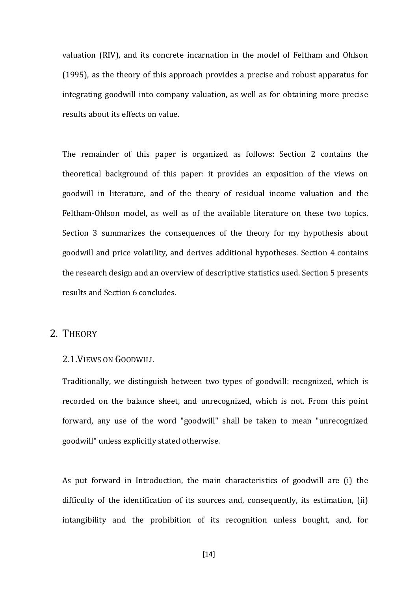valuation (RIV), and its concrete incarnation in the model of Feltham and Ohlson (1995), as the theory of this approach provides a precise and robust apparatus for integrating goodwill into company valuation, as well as for obtaining more precise results about its effects on value.

The remainder of this paper is organized as follows: Section 2 contains the theoretical background of this paper: it provides an exposition of the views on goodwill in literature, and of the theory of residual income valuation and the Feltham-Ohlson model, as well as of the available literature on these two topics. Section 3 summarizes the consequences of the theory for my hypothesis about goodwill and price volatility, and derives additional hypotheses. Section 4 contains the research design and an overview of descriptive statistics used. Section 5 presents results and Section 6 concludes.

### <span id="page-12-0"></span>2. THEORY

### <span id="page-12-1"></span>2.1.VIEWS ON GOODWILL

Traditionally, we distinguish between two types of goodwill: recognized, which is recorded on the balance sheet, and unrecognized, which is not. From this point forward, any use of the word "goodwill" shall be taken to mean "unrecognized goodwill" unless explicitly stated otherwise.

As put forward in Introduction, the main characteristics of goodwill are (i) the difficulty of the identification of its sources and, consequently, its estimation, (ii) intangibility and the prohibition of its recognition unless bought, and, for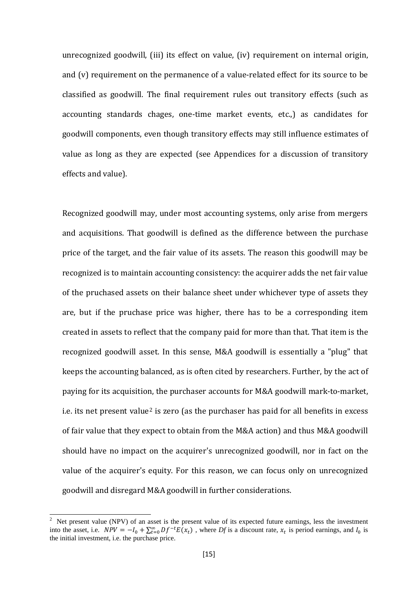unrecognized goodwill, (iii) its effect on value, (iv) requirement on internal origin, and (v) requirement on the permanence of a value-related effect for its source to be classified as goodwill. The final requirement rules out transitory effects (such as accounting standards chages, one-time market events, etc.,) as candidates for goodwill components, even though transitory effects may still influence estimates of value as long as they are expected (see Appendices for a discussion of transitory effects and value).

Recognized goodwill may, under most accounting systems, only arise from mergers and acquisitions. That goodwill is defined as the difference between the purchase price of the target, and the fair value of its assets. The reason this goodwill may be recognized is to maintain accounting consistency: the acquirer adds the net fair value of the pruchased assets on their balance sheet under whichever type of assets they are, but if the pruchase price was higher, there has to be a corresponding item created in assets to reflect that the company paid for more than that. That item is the recognized goodwill asset. In this sense, M&A goodwill is essentially a "plug" that keeps the accounting balanced, as is often cited by researchers. Further, by the act of paying for its acquisition, the purchaser accounts for M&A goodwill mark-to-market, i.e. its net present value<sup>[2](#page-13-0)</sup> is zero (as the purchaser has paid for all benefits in excess of fair value that they expect to obtain from the M&A action) and thus M&A goodwill should have no impact on the acquirer's unrecognized goodwill, nor in fact on the value of the acquirer's equity. For this reason, we can focus only on unrecognized goodwill and disregard M&A goodwill in further considerations.

<span id="page-13-0"></span> $\frac{1}{2}$  Net present value (NPV) of an asset is the present value of its expected future earnings, less the investment into the asset, i.e.  $NPV = -I_0 + \sum_{t=0}^{\infty} Df^{-t}E(x_t)$ , where *Df* is a discount rate,  $x_t$  is period earnings, and  $I_0$  is the initial investment, i.e. the purchase price.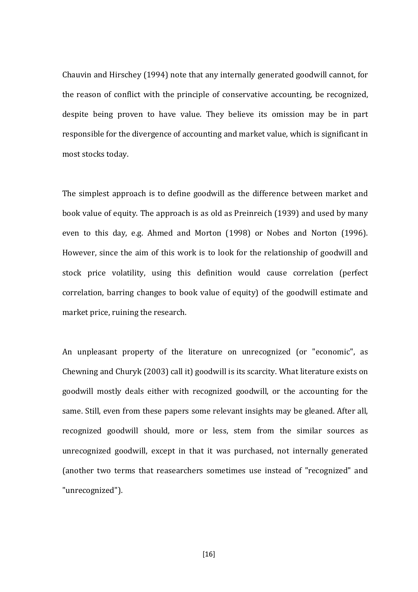Chauvin and Hirschey (1994) note that any internally generated goodwill cannot, for the reason of conflict with the principle of conservative accounting, be recognized, despite being proven to have value. They believe its omission may be in part responsible for the divergence of accounting and market value, which is significant in most stocks today.

The simplest approach is to define goodwill as the difference between market and book value of equity. The approach is as old as Preinreich (1939) and used by many even to this day, e.g. Ahmed and Morton (1998) or Nobes and Norton (1996). However, since the aim of this work is to look for the relationship of goodwill and stock price volatility, using this definition would cause correlation (perfect correlation, barring changes to book value of equity) of the goodwill estimate and market price, ruining the research.

An unpleasant property of the literature on unrecognized (or "economic", as Chewning and Churyk (2003) call it) goodwill is its scarcity. What literature exists on goodwill mostly deals either with recognized goodwill, or the accounting for the same. Still, even from these papers some relevant insights may be gleaned. After all, recognized goodwill should, more or less, stem from the similar sources as unrecognized goodwill, except in that it was purchased, not internally generated (another two terms that reasearchers sometimes use instead of "recognized" and "unrecognized").

[16]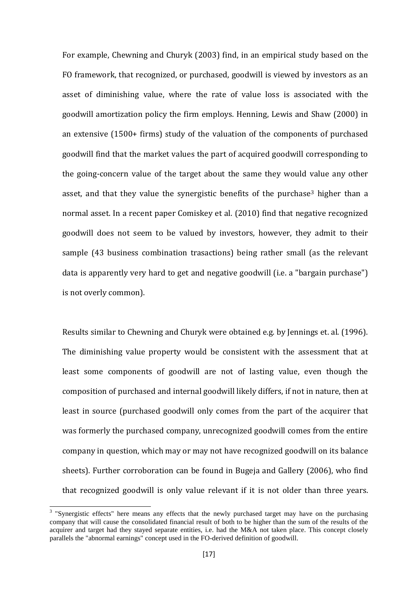For example, Chewning and Churyk (2003) find, in an empirical study based on the FO framework, that recognized, or purchased, goodwill is viewed by investors as an asset of diminishing value, where the rate of value loss is associated with the goodwill amortization policy the firm employs. Henning, Lewis and Shaw (2000) in an extensive (1500+ firms) study of the valuation of the components of purchased goodwill find that the market values the part of acquired goodwill corresponding to the going-concern value of the target about the same they would value any other asset, and that they value the synergistic benefits of the purchase<sup>[3](#page-15-0)</sup> higher than a normal asset. In a recent paper Comiskey et al. (2010) find that negative recognized goodwill does not seem to be valued by investors, however, they admit to their sample (43 business combination trasactions) being rather small (as the relevant data is apparently very hard to get and negative goodwill (i.e. a "bargain purchase") is not overly common).

Results similar to Chewning and Churyk were obtained e.g. by Jennings et. al. (1996). The diminishing value property would be consistent with the assessment that at least some components of goodwill are not of lasting value, even though the composition of purchased and internal goodwill likely differs, if not in nature, then at least in source (purchased goodwill only comes from the part of the acquirer that was formerly the purchased company, unrecognized goodwill comes from the entire company in question, which may or may not have recognized goodwill on its balance sheets). Further corroboration can be found in Bugeja and Gallery (2006), who find that recognized goodwill is only value relevant if it is not older than three years.

<span id="page-15-0"></span><sup>&</sup>lt;sup>3</sup> "Synergistic effects" here means any effects that the newly purchased target may have on the purchasing company that will cause the consolidated financial result of both to be higher than the sum of the results of the acquirer and target had they stayed separate entities, i.e. had the M&A not taken place. This concept closely parallels the "abnormal earnings" concept used in the FO-derived definition of goodwill.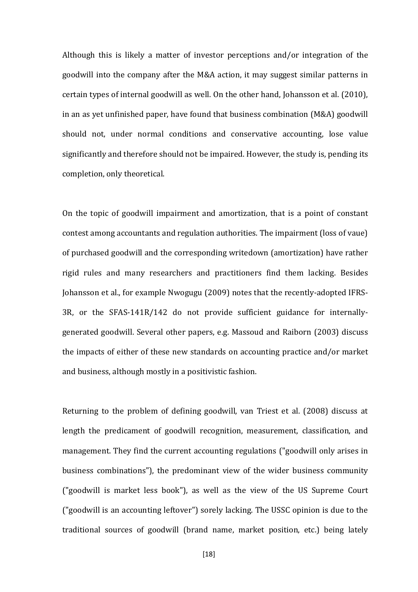Although this is likely a matter of investor perceptions and/or integration of the goodwill into the company after the M&A action, it may suggest similar patterns in certain types of internal goodwill as well. On the other hand, Johansson et al. (2010), in an as yet unfinished paper, have found that business combination (M&A) goodwill should not, under normal conditions and conservative accounting, lose value significantly and therefore should not be impaired. However, the study is, pending its completion, only theoretical.

On the topic of goodwill impairment and amortization, that is a point of constant contest among accountants and regulation authorities. The impairment (loss of vaue) of purchased goodwill and the corresponding writedown (amortization) have rather rigid rules and many researchers and practitioners find them lacking. Besides Johansson et al., for example Nwogugu (2009) notes that the recently-adopted IFRS-3R, or the SFAS-141R/142 do not provide sufficient guidance for internallygenerated goodwill. Several other papers, e.g. Massoud and Raiborn (2003) discuss the impacts of either of these new standards on accounting practice and/or market and business, although mostly in a positivistic fashion.

Returning to the problem of defining goodwill, van Triest et al. (2008) discuss at length the predicament of goodwill recognition, measurement, classification, and management. They find the current accounting regulations ("goodwill only arises in business combinations"), the predominant view of the wider business community ("goodwill is market less book"), as well as the view of the US Supreme Court ("goodwill is an accounting leftover") sorely lacking. The USSC opinion is due to the traditional sources of goodwill (brand name, market position, etc.) being lately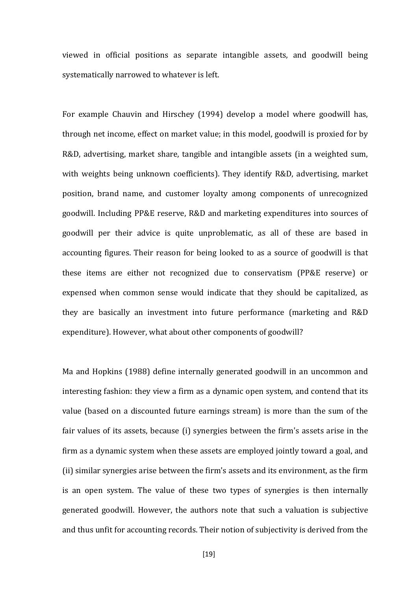viewed in official positions as separate intangible assets, and goodwill being systematically narrowed to whatever is left.

For example Chauvin and Hirschey (1994) develop a model where goodwill has, through net income, effect on market value; in this model, goodwill is proxied for by R&D, advertising, market share, tangible and intangible assets (in a weighted sum, with weights being unknown coefficients). They identify R&D, advertising, market position, brand name, and customer loyalty among components of unrecognized goodwill. Including PP&E reserve, R&D and marketing expenditures into sources of goodwill per their advice is quite unproblematic, as all of these are based in accounting figures. Their reason for being looked to as a source of goodwill is that these items are either not recognized due to conservatism (PP&E reserve) or expensed when common sense would indicate that they should be capitalized, as they are basically an investment into future performance (marketing and R&D expenditure). However, what about other components of goodwill?

Ma and Hopkins (1988) define internally generated goodwill in an uncommon and interesting fashion: they view a firm as a dynamic open system, and contend that its value (based on a discounted future earnings stream) is more than the sum of the fair values of its assets, because (i) synergies between the firm's assets arise in the firm as a dynamic system when these assets are employed jointly toward a goal, and (ii) similar synergies arise between the firm's assets and its environment, as the firm is an open system. The value of these two types of synergies is then internally generated goodwill. However, the authors note that such a valuation is subjective and thus unfit for accounting records. Their notion of subjectivity is derived from the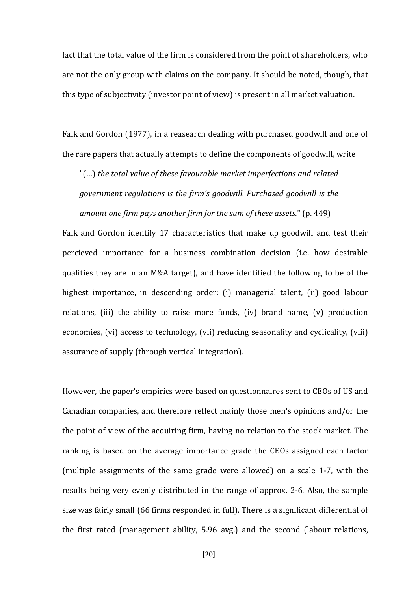fact that the total value of the firm is considered from the point of shareholders, who are not the only group with claims on the company. It should be noted, though, that this type of subjectivity (investor point of view) is present in all market valuation.

Falk and Gordon (1977), in a reasearch dealing with purchased goodwill and one of the rare papers that actually attempts to define the components of goodwill, write

"(…) *the total value of these favourable market imperfections and related government regulations is the firm's goodwill. Purchased goodwill is the amount one firm pays another firm for the sum of these assets*." (p. 449)

Falk and Gordon identify 17 characteristics that make up goodwill and test their percieved importance for a business combination decision (i.e. how desirable qualities they are in an M&A target), and have identified the following to be of the highest importance, in descending order: (i) managerial talent, (ii) good labour relations, (iii) the ability to raise more funds, (iv) brand name, (v) production economies, (vi) access to technology, (vii) reducing seasonality and cyclicality, (viii) assurance of supply (through vertical integration).

However, the paper's empirics were based on questionnaires sent to CEOs of US and Canadian companies, and therefore reflect mainly those men's opinions and/or the the point of view of the acquiring firm, having no relation to the stock market. The ranking is based on the average importance grade the CEOs assigned each factor (multiple assignments of the same grade were allowed) on a scale 1-7, with the results being very evenly distributed in the range of approx. 2-6. Also, the sample size was fairly small (66 firms responded in full). There is a significant differential of the first rated (management ability, 5.96 avg.) and the second (labour relations,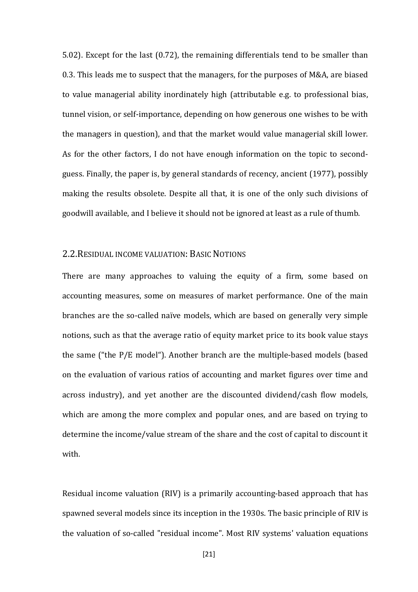5.02). Except for the last (0.72), the remaining differentials tend to be smaller than 0.3. This leads me to suspect that the managers, for the purposes of M&A, are biased to value managerial ability inordinately high (attributable e.g. to professional bias, tunnel vision, or self-importance, depending on how generous one wishes to be with the managers in question), and that the market would value managerial skill lower. As for the other factors, I do not have enough information on the topic to secondguess. Finally, the paper is, by general standards of recency, ancient (1977), possibly making the results obsolete. Despite all that, it is one of the only such divisions of goodwill available, and I believe it should not be ignored at least as a rule of thumb.

### <span id="page-19-0"></span>2.2.RESIDUAL INCOME VALUATION: BASIC NOTIONS

There are many approaches to valuing the equity of a firm, some based on accounting measures, some on measures of market performance. One of the main branches are the so-called naïve models, which are based on generally very simple notions, such as that the average ratio of equity market price to its book value stays the same ("the P/E model"). Another branch are the multiple-based models (based on the evaluation of various ratios of accounting and market figures over time and across industry), and yet another are the discounted dividend/cash flow models, which are among the more complex and popular ones, and are based on trying to determine the income/value stream of the share and the cost of capital to discount it with.

Residual income valuation (RIV) is a primarily accounting-based approach that has spawned several models since its inception in the 1930s. The basic principle of RIV is the valuation of so-called "residual income". Most RIV systems' valuation equations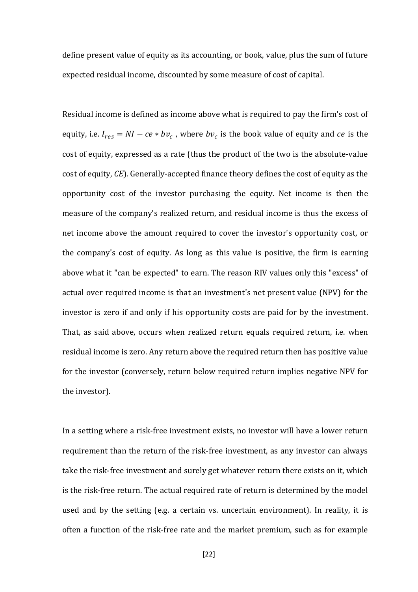define present value of equity as its accounting, or book, value, plus the sum of future expected residual income, discounted by some measure of cost of capital.

Residual income is defined as income above what is required to pay the firm's cost of equity, i.e.  $I_{res} = NI - ce * bv_c$ , where  $bv_c$  is the book value of equity and *ce* is the cost of equity, expressed as a rate (thus the product of the two is the absolute-value cost of equity, *CE*). Generally-accepted finance theory defines the cost of equity as the opportunity cost of the investor purchasing the equity. Net income is then the measure of the company's realized return, and residual income is thus the excess of net income above the amount required to cover the investor's opportunity cost, or the company's cost of equity. As long as this value is positive, the firm is earning above what it "can be expected" to earn. The reason RIV values only this "excess" of actual over required income is that an investment's net present value (NPV) for the investor is zero if and only if his opportunity costs are paid for by the investment. That, as said above, occurs when realized return equals required return, i.e. when residual income is zero. Any return above the required return then has positive value for the investor (conversely, return below required return implies negative NPV for the investor).

In a setting where a risk-free investment exists, no investor will have a lower return requirement than the return of the risk-free investment, as any investor can always take the risk-free investment and surely get whatever return there exists on it, which is the risk-free return. The actual required rate of return is determined by the model used and by the setting (e.g. a certain vs. uncertain environment). In reality, it is often a function of the risk-free rate and the market premium, such as for example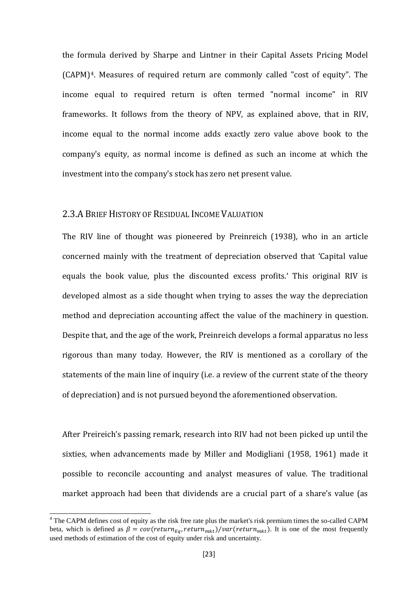the formula derived by Sharpe and Lintner in their Capital Assets Pricing Model (CAPM)[4.](#page-21-1) Measures of required return are commonly called "cost of equity". The income equal to required return is often termed "normal income" in RIV frameworks. It follows from the theory of NPV, as explained above, that in RIV, income equal to the normal income adds exactly zero value above book to the company's equity, as normal income is defined as such an income at which the investment into the company's stock has zero net present value.

### <span id="page-21-0"></span>2.3.A BRIEF HISTORY OF RESIDUAL INCOME VALUATION

The RIV line of thought was pioneered by Preinreich (1938), who in an article concerned mainly with the treatment of depreciation observed that 'Capital value equals the book value, plus the discounted excess profits.' This original RIV is developed almost as a side thought when trying to asses the way the depreciation method and depreciation accounting affect the value of the machinery in question. Despite that, and the age of the work, Preinreich develops a formal apparatus no less rigorous than many today. However, the RIV is mentioned as a corollary of the statements of the main line of inquiry (i.e. a review of the current state of the theory of depreciation) and is not pursued beyond the aforementioned observation.

After Preireich's passing remark, research into RIV had not been picked up until the sixties, when advancements made by Miller and Modigliani (1958, 1961) made it possible to reconcile accounting and analyst measures of value. The traditional market approach had been that dividends are a crucial part of a share's value (as

<span id="page-21-1"></span><sup>&</sup>lt;sup>4</sup> The CAPM defines cost of equity as the risk free rate plus the market's risk premium times the so-called CAPM beta, which is defined as  $\beta = cov(return_{Eq}, return_{mkt})/var(return_{mkt})$ . It is one of the most frequently used methods of estimation of the cost of equity under risk and uncertainty.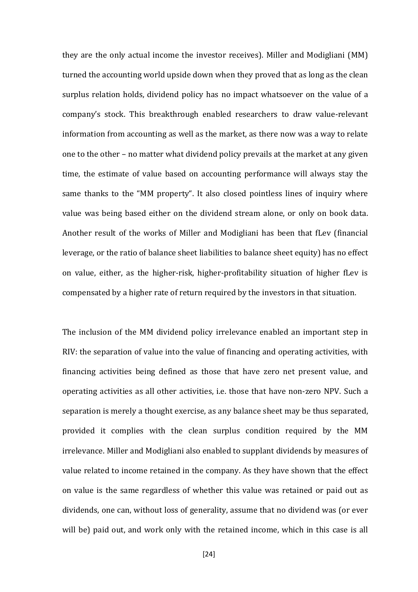they are the only actual income the investor receives). Miller and Modigliani (MM) turned the accounting world upside down when they proved that as long as the clean surplus relation holds, dividend policy has no impact whatsoever on the value of a company's stock. This breakthrough enabled researchers to draw value-relevant information from accounting as well as the market, as there now was a way to relate one to the other – no matter what dividend policy prevails at the market at any given time, the estimate of value based on accounting performance will always stay the same thanks to the "MM property". It also closed pointless lines of inquiry where value was being based either on the dividend stream alone, or only on book data. Another result of the works of Miller and Modigliani has been that fLev (financial leverage, or the ratio of balance sheet liabilities to balance sheet equity) has no effect on value, either, as the higher-risk, higher-profitability situation of higher fLev is compensated by a higher rate of return required by the investors in that situation.

The inclusion of the MM dividend policy irrelevance enabled an important step in RIV: the separation of value into the value of financing and operating activities, with financing activities being defined as those that have zero net present value, and operating activities as all other activities, i.e. those that have non-zero NPV. Such a separation is merely a thought exercise, as any balance sheet may be thus separated, provided it complies with the clean surplus condition required by the MM irrelevance. Miller and Modigliani also enabled to supplant dividends by measures of value related to income retained in the company. As they have shown that the effect on value is the same regardless of whether this value was retained or paid out as dividends, one can, without loss of generality, assume that no dividend was (or ever will be) paid out, and work only with the retained income, which in this case is all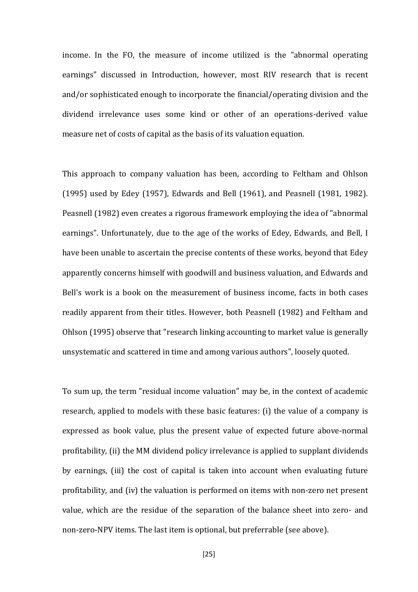income. In the FO, the measure of income utilized is the "abnormal operating earnings" discussed in Introduction, however, most RIV research that is recent and/or sophisticated enough to incorporate the financial/operating division and the dividend irrelevance uses some kind or other of an operations-derived value measure net of costs of capital as the basis of its valuation equation.

This approach to company valuation has been, according to Feltham and Ohlson (1995) used by Edey (1957), Edwards and Bell (1961), and Peasnell (1981, 1982). Peasnell (1982) even creates a rigorous framework employing the idea of "abnormal earnings". Unfortunately, due to the age of the works of Edey, Edwards, and Bell, I have been unable to ascertain the precise contents of these works, beyond that Edey apparently concerns himself with goodwill and business valuation, and Edwards and Bell's work is a book on the measurement of business income, facts in both cases readily apparent from their titles. However, both Peasnell (1982) and Feltham and Ohlson (1995) observe that "research linking accounting to market value is generally unsystematic and scattered in time and among various authors", loosely quoted.

To sum up, the term "residual income valuation" may be, in the context of academic research, applied to models with these basic features: (i) the value of a company is expressed as book value, plus the present value of expected future above-normal profitability, (ii) the MM dividend policy irrelevance is applied to supplant dividends by earnings, (iii) the cost of capital is taken into account when evaluating future profitability, and (iv) the valuation is performed on items with non-zero net present value, which are the residue of the separation of the balance sheet into zero- and non-zero-NPV items. The last item is optional, but preferrable (see above).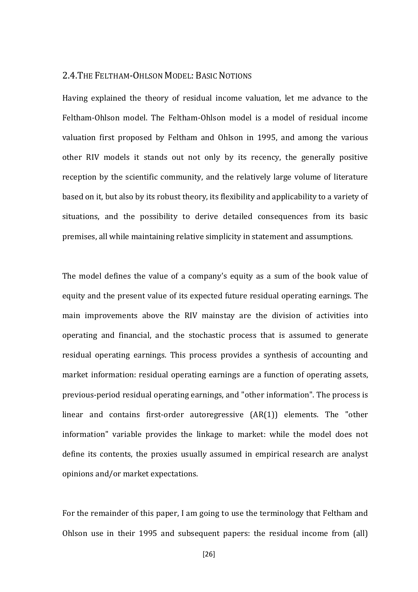#### <span id="page-24-0"></span>2.4.THE FELTHAM-OHLSON MODEL: BASIC NOTIONS

Having explained the theory of residual income valuation, let me advance to the Feltham-Ohlson model. The Feltham-Ohlson model is a model of residual income valuation first proposed by Feltham and Ohlson in 1995, and among the various other RIV models it stands out not only by its recency, the generally positive reception by the scientific community, and the relatively large volume of literature based on it, but also by its robust theory, its flexibility and applicability to a variety of situations, and the possibility to derive detailed consequences from its basic premises, all while maintaining relative simplicity in statement and assumptions.

The model defines the value of a company's equity as a sum of the book value of equity and the present value of its expected future residual operating earnings. The main improvements above the RIV mainstay are the division of activities into operating and financial, and the stochastic process that is assumed to generate residual operating earnings. This process provides a synthesis of accounting and market information: residual operating earnings are a function of operating assets, previous-period residual operating earnings, and "other information". The process is linear and contains first-order autoregressive (AR(1)) elements. The "other information" variable provides the linkage to market: while the model does not define its contents, the proxies usually assumed in empirical research are analyst opinions and/or market expectations.

For the remainder of this paper, I am going to use the terminology that Feltham and Ohlson use in their 1995 and subsequent papers: the residual income from (all)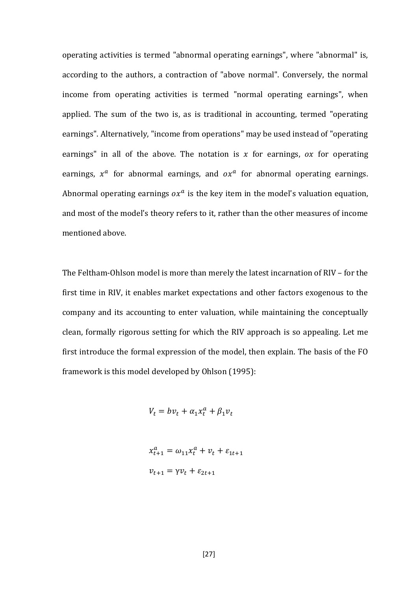operating activities is termed "abnormal operating earnings", where "abnormal" is, according to the authors, a contraction of "above normal". Conversely, the normal income from operating activities is termed "normal operating earnings", when applied. The sum of the two is, as is traditional in accounting, termed "operating earnings". Alternatively, "income from operations" may be used instead of "operating earnings" in all of the above. The notation is  $x$  for earnings, ox for operating earnings,  $x^a$  for abnormal earnings, and  $\alpha x^a$  for abnormal operating earnings. Abnormal operating earnings  $\alpha x^a$  is the key item in the model's valuation equation, and most of the model's theory refers to it, rather than the other measures of income mentioned above.

The Feltham-Ohlson model is more than merely the latest incarnation of RIV – for the first time in RIV, it enables market expectations and other factors exogenous to the company and its accounting to enter valuation, while maintaining the conceptually clean, formally rigorous setting for which the RIV approach is so appealing. Let me first introduce the formal expression of the model, then explain. The basis of the FO framework is this model developed by Ohlson (1995):

$$
V_t = bv_t + \alpha_1 x_t^a + \beta_1 v_t
$$

$$
x_{t+1}^a = \omega_{11} x_t^a + v_t + \varepsilon_{1t+1}
$$

$$
v_{t+1} = \gamma v_t + \varepsilon_{2t+1}
$$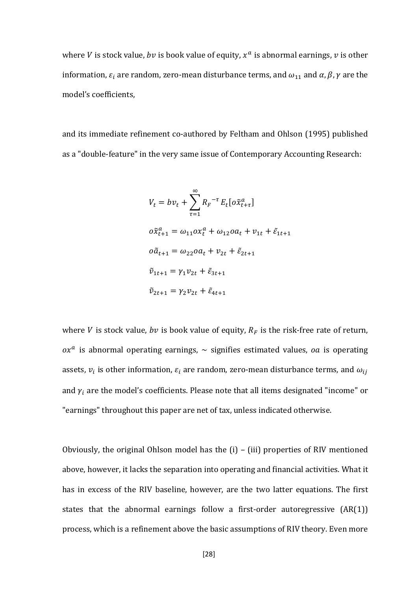where *V* is stock value, *bv* is book value of equity,  $x^a$  is abnormal earnings, *v* is other information,  $\varepsilon_i$  are random, zero-mean disturbance terms, and  $\omega_{11}$  and  $\alpha$ ,  $\beta$ ,  $\gamma$  are the model's coefficients,

and its immediate refinement co-authored by Feltham and Ohlson (1995) published as a "double-feature" in the very same issue of Contemporary Accounting Research:

$$
V_{t} = bv_{t} + \sum_{\tau=1}^{\infty} R_{F}^{-\tau} E_{t} [o\tilde{x}_{t+\tau}^{a}]
$$
  
\n
$$
o\tilde{x}_{t+1}^{a} = \omega_{11}ox_{t}^{a} + \omega_{12}oa_{t} + v_{1t} + \tilde{\varepsilon}_{1t+1}
$$
  
\n
$$
o\tilde{a}_{t+1} = \omega_{22}oa_{t} + v_{2t} + \tilde{\varepsilon}_{2t+1}
$$
  
\n
$$
\tilde{v}_{1t+1} = \gamma_{1}v_{2t} + \tilde{\varepsilon}_{3t+1}
$$
  
\n
$$
\tilde{v}_{2t+1} = \gamma_{2}v_{2t} + \tilde{\varepsilon}_{4t+1}
$$

where *V* is stock value, *bv* is book value of equity,  $R_F$  is the risk-free rate of return,  $\alpha x^a$  is abnormal operating earnings,  $\sim$  signifies estimated values,  $oa$  is operating assets,  $v_i$  is other information,  $\varepsilon_i$  are random, zero-mean disturbance terms, and  $\omega_{ij}$ and  $\gamma_i$  are the model's coefficients. Please note that all items designated "income" or "earnings" throughout this paper are net of tax, unless indicated otherwise.

Obviously, the original Ohlson model has the (i) – (iii) properties of RIV mentioned above, however, it lacks the separation into operating and financial activities. What it has in excess of the RIV baseline, however, are the two latter equations. The first states that the abnormal earnings follow a first-order autoregressive (AR(1)) process, which is a refinement above the basic assumptions of RIV theory. Even more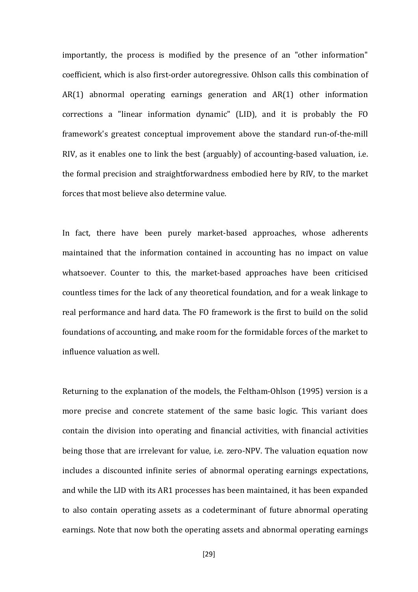importantly, the process is modified by the presence of an "other information" coefficient, which is also first-order autoregressive. Ohlson calls this combination of AR(1) abnormal operating earnings generation and AR(1) other information corrections a "linear information dynamic" (LID), and it is probably the FO framework's greatest conceptual improvement above the standard run-of-the-mill RIV, as it enables one to link the best (arguably) of accounting-based valuation, i.e. the formal precision and straightforwardness embodied here by RIV, to the market forces that most believe also determine value.

In fact, there have been purely market-based approaches, whose adherents maintained that the information contained in accounting has no impact on value whatsoever. Counter to this, the market-based approaches have been criticised countless times for the lack of any theoretical foundation, and for a weak linkage to real performance and hard data. The FO framework is the first to build on the solid foundations of accounting, and make room for the formidable forces of the market to influence valuation as well.

Returning to the explanation of the models, the Feltham-Ohlson (1995) version is a more precise and concrete statement of the same basic logic. This variant does contain the division into operating and financial activities, with financial activities being those that are irrelevant for value, i.e. zero-NPV. The valuation equation now includes a discounted infinite series of abnormal operating earnings expectations, and while the LID with its AR1 processes has been maintained, it has been expanded to also contain operating assets as a codeterminant of future abnormal operating earnings. Note that now both the operating assets and abnormal operating earnings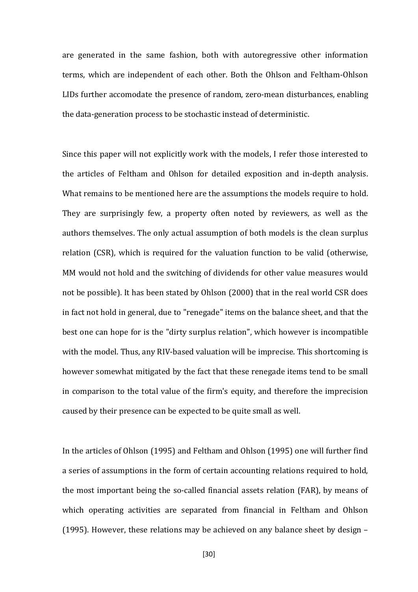are generated in the same fashion, both with autoregressive other information terms, which are independent of each other. Both the Ohlson and Feltham-Ohlson LIDs further accomodate the presence of random, zero-mean disturbances, enabling the data-generation process to be stochastic instead of deterministic.

Since this paper will not explicitly work with the models, I refer those interested to the articles of Feltham and Ohlson for detailed exposition and in-depth analysis. What remains to be mentioned here are the assumptions the models require to hold. They are surprisingly few, a property often noted by reviewers, as well as the authors themselves. The only actual assumption of both models is the clean surplus relation (CSR), which is required for the valuation function to be valid (otherwise, MM would not hold and the switching of dividends for other value measures would not be possible). It has been stated by Ohlson (2000) that in the real world CSR does in fact not hold in general, due to "renegade" items on the balance sheet, and that the best one can hope for is the "dirty surplus relation", which however is incompatible with the model. Thus, any RIV-based valuation will be imprecise. This shortcoming is however somewhat mitigated by the fact that these renegade items tend to be small in comparison to the total value of the firm's equity, and therefore the imprecision caused by their presence can be expected to be quite small as well.

In the articles of Ohlson (1995) and Feltham and Ohlson (1995) one will further find a series of assumptions in the form of certain accounting relations required to hold, the most important being the so-called financial assets relation (FAR), by means of which operating activities are separated from financial in Feltham and Ohlson (1995). However, these relations may be achieved on any balance sheet by design –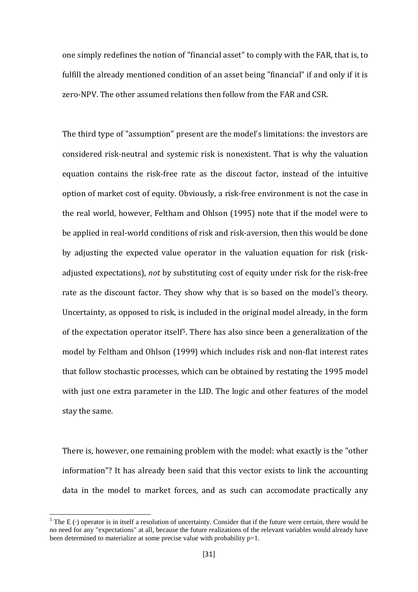one simply redefines the notion of "financial asset" to comply with the FAR, that is, to fulfill the already mentioned condition of an asset being "financial" if and only if it is zero-NPV. The other assumed relations then follow from the FAR and CSR.

The third type of "assumption" present are the model's limitations: the investors are considered risk-neutral and systemic risk is nonexistent. That is why the valuation equation contains the risk-free rate as the discout factor, instead of the intuitive option of market cost of equity. Obviously, a risk-free environment is not the case in the real world, however, Feltham and Ohlson (1995) note that if the model were to be applied in real-world conditions of risk and risk-aversion, then this would be done by adjusting the expected value operator in the valuation equation for risk (riskadjusted expectations), *not* by substituting cost of equity under risk for the risk-free rate as the discount factor. They show why that is so based on the model's theory. Uncertainty, as opposed to risk, is included in the original model already, in the form of the expectation operator itself[5](#page-29-0). There has also since been a generalization of the model by Feltham and Ohlson (1999) which includes risk and non-flat interest rates that follow stochastic processes, which can be obtained by restating the 1995 model with just one extra parameter in the LID. The logic and other features of the model stay the same.

There is, however, one remaining problem with the model: what exactly is the "other information"? It has already been said that this vector exists to link the accounting data in the model to market forces, and as such can accomodate practically any

<span id="page-29-0"></span> $5$  The E( $\cdot$ ) operator is in itself a resolution of uncertainty. Consider that if the future were certain, there would be no need for any "expectations" at all, because the future realizations of the relevant variables would already have been determined to materialize at some precise value with probability  $p=1$ .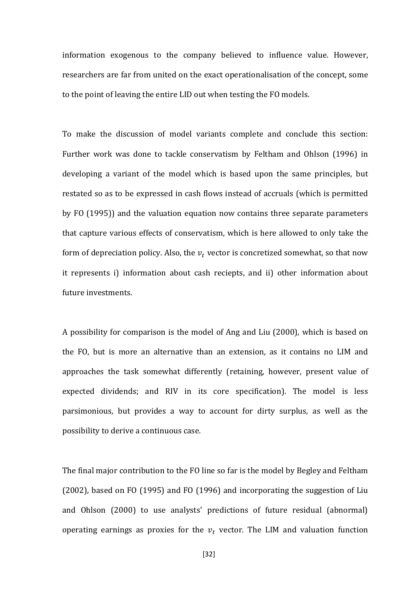information exogenous to the company believed to influence value. However, researchers are far from united on the exact operationalisation of the concept, some to the point of leaving the entire LID out when testing the FO models.

To make the discussion of model variants complete and conclude this section: Further work was done to tackle conservatism by Feltham and Ohlson (1996) in developing a variant of the model which is based upon the same principles, but restated so as to be expressed in cash flows instead of accruals (which is permitted by FO (1995)) and the valuation equation now contains three separate parameters that capture various effects of conservatism, which is here allowed to only take the form of depreciation policy. Also, the  $v_t$  vector is concretized somewhat, so that now it represents i) information about cash reciepts, and ii) other information about future investments.

A possibility for comparison is the model of Ang and Liu (2000), which is based on the FO, but is more an alternative than an extension, as it contains no LIM and approaches the task somewhat differently (retaining, however, present value of expected dividends; and RIV in its core specification). The model is less parsimonious, but provides a way to account for dirty surplus, as well as the possibility to derive a continuous case.

The final major contribution to the FO line so far is the model by Begley and Feltham (2002), based on FO (1995) and FO (1996) and incorporating the suggestion of Liu and Ohlson (2000) to use analysts' predictions of future residual (abnormal) operating earnings as proxies for the  $v_t$  vector. The LIM and valuation function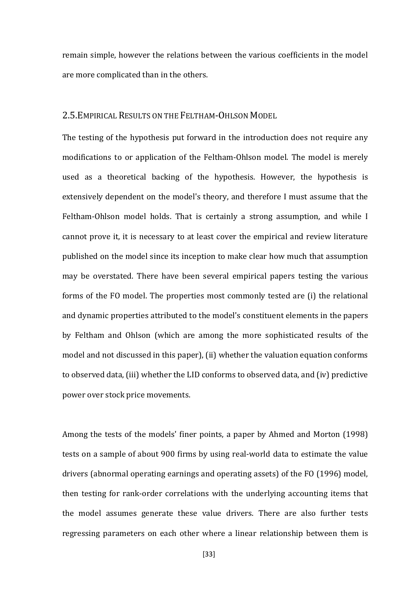remain simple, however the relations between the various coefficients in the model are more complicated than in the others.

#### <span id="page-31-0"></span>2.5.EMPIRICAL RESULTS ON THE FELTHAM-OHLSON MODEL

The testing of the hypothesis put forward in the introduction does not require any modifications to or application of the Feltham-Ohlson model. The model is merely used as a theoretical backing of the hypothesis. However, the hypothesis is extensively dependent on the model's theory, and therefore I must assume that the Feltham-Ohlson model holds. That is certainly a strong assumption, and while I cannot prove it, it is necessary to at least cover the empirical and review literature published on the model since its inception to make clear how much that assumption may be overstated. There have been several empirical papers testing the various forms of the FO model. The properties most commonly tested are (i) the relational and dynamic properties attributed to the model's constituent elements in the papers by Feltham and Ohlson (which are among the more sophisticated results of the model and not discussed in this paper), (ii) whether the valuation equation conforms to observed data, (iii) whether the LID conforms to observed data, and (iv) predictive power over stock price movements.

Among the tests of the models' finer points, a paper by Ahmed and Morton (1998) tests on a sample of about 900 firms by using real-world data to estimate the value drivers (abnormal operating earnings and operating assets) of the FO (1996) model, then testing for rank-order correlations with the underlying accounting items that the model assumes generate these value drivers. There are also further tests regressing parameters on each other where a linear relationship between them is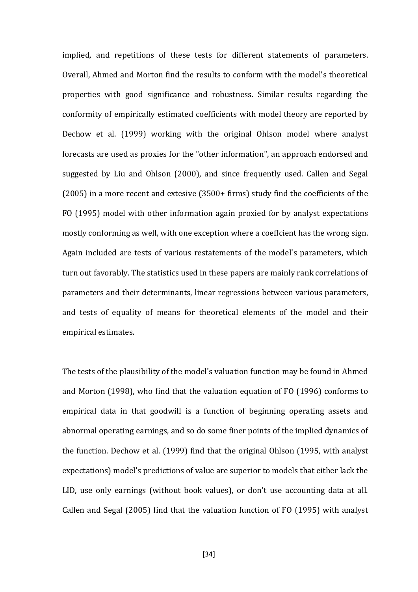implied, and repetitions of these tests for different statements of parameters. Overall, Ahmed and Morton find the results to conform with the model's theoretical properties with good significance and robustness. Similar results regarding the conformity of empirically estimated coefficients with model theory are reported by Dechow et al. (1999) working with the original Ohlson model where analyst forecasts are used as proxies for the "other information", an approach endorsed and suggested by Liu and Ohlson (2000), and since frequently used. Callen and Segal (2005) in a more recent and extesive (3500+ firms) study find the coefficients of the FO (1995) model with other information again proxied for by analyst expectations mostly conforming as well, with one exception where a coeffcient has the wrong sign. Again included are tests of various restatements of the model's parameters, which turn out favorably. The statistics used in these papers are mainly rank correlations of parameters and their determinants, linear regressions between various parameters, and tests of equality of means for theoretical elements of the model and their empirical estimates.

The tests of the plausibility of the model's valuation function may be found in Ahmed and Morton (1998), who find that the valuation equation of FO (1996) conforms to empirical data in that goodwill is a function of beginning operating assets and abnormal operating earnings, and so do some finer points of the implied dynamics of the function. Dechow et al. (1999) find that the original Ohlson (1995, with analyst expectations) model's predictions of value are superior to models that either lack the LID, use only earnings (without book values), or don't use accounting data at all. Callen and Segal (2005) find that the valuation function of FO (1995) with analyst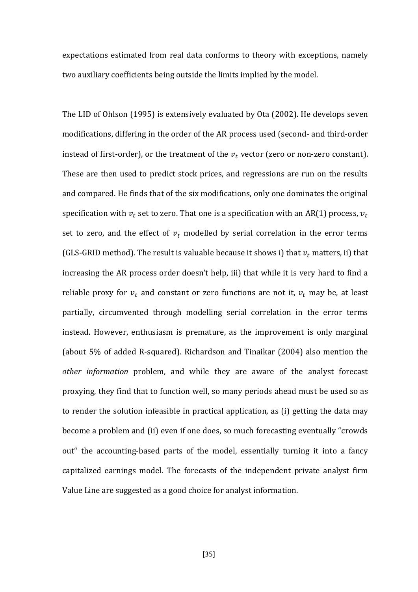expectations estimated from real data conforms to theory with exceptions, namely two auxiliary coefficients being outside the limits implied by the model.

The LID of Ohlson (1995) is extensively evaluated by Ota (2002). He develops seven modifications, differing in the order of the AR process used (second- and third-order instead of first-order), or the treatment of the  $v_t$  vector (zero or non-zero constant). These are then used to predict stock prices, and regressions are run on the results and compared. He finds that of the six modifications, only one dominates the original specification with  $v_t$  set to zero. That one is a specification with an AR(1) process,  $v_t$ set to zero, and the effect of  $v_t$  modelled by serial correlation in the error terms (GLS-GRID method). The result is valuable because it shows i) that  $v_t$  matters, ii) that increasing the AR process order doesn't help, iii) that while it is very hard to find a reliable proxy for  $v_t$  and constant or zero functions are not it,  $v_t$  may be, at least partially, circumvented through modelling serial correlation in the error terms instead. However, enthusiasm is premature, as the improvement is only marginal (about 5% of added R-squared). Richardson and Tinaikar (2004) also mention the *other information* problem, and while they are aware of the analyst forecast proxying, they find that to function well, so many periods ahead must be used so as to render the solution infeasible in practical application, as (i) getting the data may become a problem and (ii) even if one does, so much forecasting eventually "crowds out" the accounting-based parts of the model, essentially turning it into a fancy capitalized earnings model. The forecasts of the independent private analyst firm Value Line are suggested as a good choice for analyst information.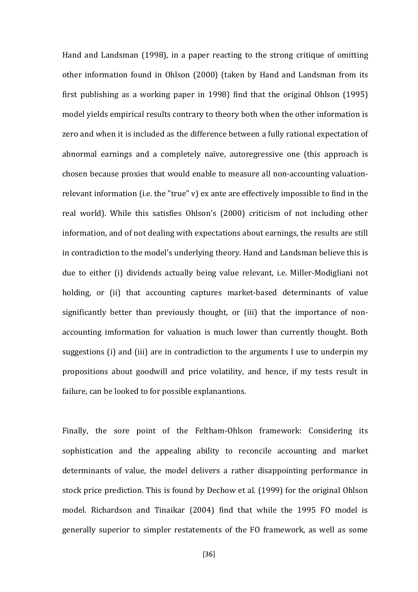Hand and Landsman (1998), in a paper reacting to the strong critique of omitting other information found in Ohlson (2000) (taken by Hand and Landsman from its first publishing as a working paper in 1998) find that the original Ohlson (1995) model yields empirical results contrary to theory both when the other information is zero and when it is included as the difference between a fully rational expectation of abnormal earnings and a completely naïve, autoregressive one (this approach is chosen because proxies that would enable to measure all non-accounting valuationrelevant information (i.e. the "true" v) ex ante are effectively impossible to find in the real world). While this satisfies Ohlson's (2000) criticism of not including other information, and of not dealing with expectations about earnings, the results are still in contradiction to the model's underlying theory. Hand and Landsman believe this is due to either (i) dividends actually being value relevant, i.e. Miller-Modigliani not holding, or (ii) that accounting captures market-based determinants of value significantly better than previously thought, or (iii) that the importance of nonaccounting imformation for valuation is much lower than currently thought. Both suggestions (i) and (iii) are in contradiction to the arguments I use to underpin my propositions about goodwill and price volatility, and hence, if my tests result in failure, can be looked to for possible explanantions.

Finally, the sore point of the Feltham-Ohlson framework: Considering its sophistication and the appealing ability to reconcile accounting and market determinants of value, the model delivers a rather disappointing performance in stock price prediction. This is found by Dechow et al. (1999) for the original Ohlson model. Richardson and Tinaikar (2004) find that while the 1995 FO model is generally superior to simpler restatements of the FO framework, as well as some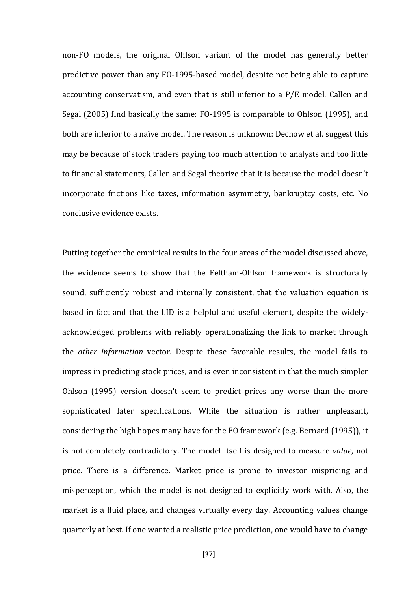non-FO models, the original Ohlson variant of the model has generally better predictive power than any FO-1995-based model, despite not being able to capture accounting conservatism, and even that is still inferior to a P/E model. Callen and Segal (2005) find basically the same: FO-1995 is comparable to Ohlson (1995), and both are inferior to a naïve model. The reason is unknown: Dechow et al. suggest this may be because of stock traders paying too much attention to analysts and too little to financial statements, Callen and Segal theorize that it is because the model doesn't incorporate frictions like taxes, information asymmetry, bankruptcy costs, etc. No conclusive evidence exists.

Putting together the empirical results in the four areas of the model discussed above, the evidence seems to show that the Feltham-Ohlson framework is structurally sound, sufficiently robust and internally consistent, that the valuation equation is based in fact and that the LID is a helpful and useful element, despite the widelyacknowledged problems with reliably operationalizing the link to market through the *other information* vector. Despite these favorable results, the model fails to impress in predicting stock prices, and is even inconsistent in that the much simpler Ohlson (1995) version doesn't seem to predict prices any worse than the more sophisticated later specifications. While the situation is rather unpleasant, considering the high hopes many have for the FO framework (e.g. Bernard (1995)), it is not completely contradictory. The model itself is designed to measure *value*, not price. There is a difference. Market price is prone to investor mispricing and misperception, which the model is not designed to explicitly work with. Also, the market is a fluid place, and changes virtually every day. Accounting values change quarterly at best. If one wanted a realistic price prediction, one would have to change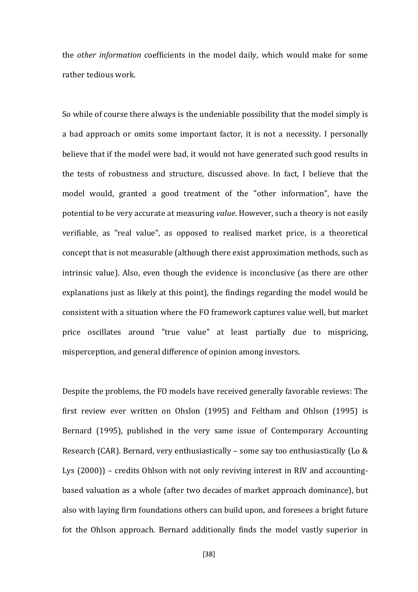the *other information* coefficients in the model daily, which would make for some rather tedious work.

So while of course there always is the undeniable possibility that the model simply is a bad approach or omits some important factor, it is not a necessity. I personally believe that if the model were bad, it would not have generated such good results in the tests of robustness and structure, discussed above. In fact, I believe that the model would, granted a good treatment of the "other information", have the potential to be very accurate at measuring *value*. However, such a theory is not easily verifiable, as "real value", as opposed to realised market price, is a theoretical concept that is not measurable (although there exist approximation methods, such as intrinsic value). Also, even though the evidence is inconclusive (as there are other explanations just as likely at this point), the findings regarding the model would be consistent with a situation where the FO framework captures value well, but market price oscillates around "true value" at least partially due to mispricing, misperception, and general difference of opinion among investors.

Despite the problems, the FO models have received generally favorable reviews: The first review ever written on Ohslon (1995) and Feltham and Ohlson (1995) is Bernard (1995), published in the very same issue of Contemporary Accounting Research (CAR). Bernard, very enthusiastically – some say too enthusiastically (Lo & Lys (2000)) – credits Ohlson with not only reviving interest in RIV and accountingbased valuation as a whole (after two decades of market approach dominance), but also with laying firm foundations others can build upon, and foresees a bright future fot the Ohlson approach. Bernard additionally finds the model vastly superior in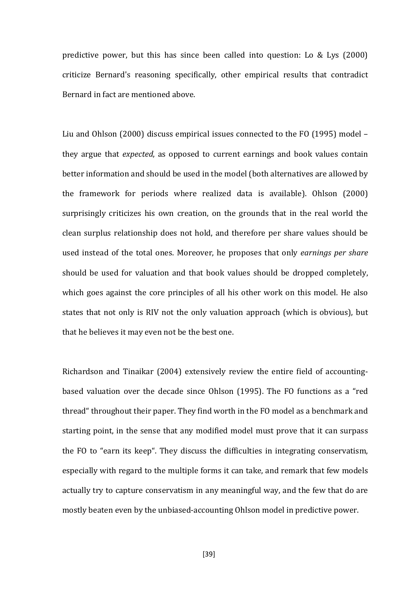predictive power, but this has since been called into question: Lo & Lys (2000) criticize Bernard's reasoning specifically, other empirical results that contradict Bernard in fact are mentioned above.

Liu and Ohlson (2000) discuss empirical issues connected to the FO (1995) model – they argue that *expected*, as opposed to current earnings and book values contain better information and should be used in the model (both alternatives are allowed by the framework for periods where realized data is available). Ohlson (2000) surprisingly criticizes his own creation, on the grounds that in the real world the clean surplus relationship does not hold, and therefore per share values should be used instead of the total ones. Moreover, he proposes that only *earnings per share* should be used for valuation and that book values should be dropped completely, which goes against the core principles of all his other work on this model. He also states that not only is RIV not the only valuation approach (which is obvious), but that he believes it may even not be the best one.

Richardson and Tinaikar (2004) extensively review the entire field of accountingbased valuation over the decade since Ohlson (1995). The FO functions as a "red thread" throughout their paper. They find worth in the FO model as a benchmark and starting point, in the sense that any modified model must prove that it can surpass the FO to "earn its keep". They discuss the difficulties in integrating conservatism, especially with regard to the multiple forms it can take, and remark that few models actually try to capture conservatism in any meaningful way, and the few that do are mostly beaten even by the unbiased-accounting Ohlson model in predictive power.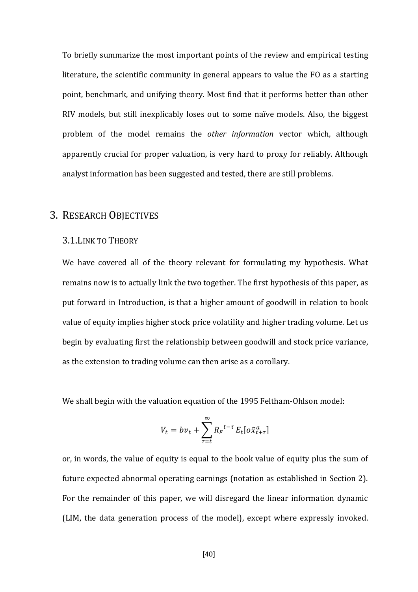To briefly summarize the most important points of the review and empirical testing literature, the scientific community in general appears to value the FO as a starting point, benchmark, and unifying theory. Most find that it performs better than other RIV models, but still inexplicably loses out to some naïve models. Also, the biggest problem of the model remains the *other information* vector which, although apparently crucial for proper valuation, is very hard to proxy for reliably. Although analyst information has been suggested and tested, there are still problems.

# 3. RESEARCH OBJECTIVES

#### 3.1.LINK TO THEORY

We have covered all of the theory relevant for formulating my hypothesis. What remains now is to actually link the two together. The first hypothesis of this paper, as put forward in Introduction, is that a higher amount of goodwill in relation to book value of equity implies higher stock price volatility and higher trading volume. Let us begin by evaluating first the relationship between goodwill and stock price variance, as the extension to trading volume can then arise as a corollary.

We shall begin with the valuation equation of the 1995 Feltham-Ohlson model:

$$
V_t = bv_t + \sum_{\tau=t}^{\infty} R_r^{t-\tau} E_t [o\tilde{x}_{t+\tau}^a]
$$

or, in words, the value of equity is equal to the book value of equity plus the sum of future expected abnormal operating earnings (notation as established in Section 2). For the remainder of this paper, we will disregard the linear information dynamic (LIM, the data generation process of the model), except where expressly invoked.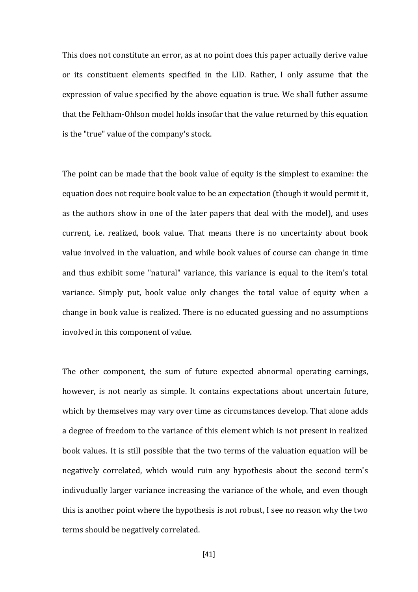This does not constitute an error, as at no point does this paper actually derive value or its constituent elements specified in the LID. Rather, I only assume that the expression of value specified by the above equation is true. We shall futher assume that the Feltham-Ohlson model holds insofar that the value returned by this equation is the "true" value of the company's stock.

The point can be made that the book value of equity is the simplest to examine: the equation does not require book value to be an expectation (though it would permit it, as the authors show in one of the later papers that deal with the model), and uses current, i.e. realized, book value. That means there is no uncertainty about book value involved in the valuation, and while book values of course can change in time and thus exhibit some "natural" variance, this variance is equal to the item's total variance. Simply put, book value only changes the total value of equity when a change in book value is realized. There is no educated guessing and no assumptions involved in this component of value.

The other component, the sum of future expected abnormal operating earnings, however, is not nearly as simple. It contains expectations about uncertain future, which by themselves may vary over time as circumstances develop. That alone adds a degree of freedom to the variance of this element which is not present in realized book values. It is still possible that the two terms of the valuation equation will be negatively correlated, which would ruin any hypothesis about the second term's indivudually larger variance increasing the variance of the whole, and even though this is another point where the hypothesis is not robust, I see no reason why the two terms should be negatively correlated.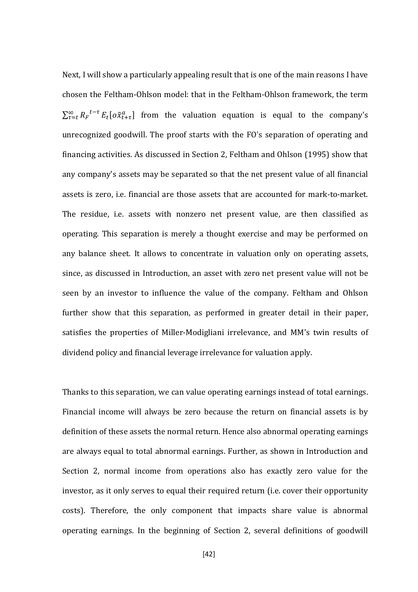Next, I will show a particularly appealing result that is one of the main reasons I have chosen the Feltham-Ohlson model: that in the Feltham-Ohlson framework, the term  $\sum_{\tau=t}^{\infty} R_F^{t-\tau} E_t[\sigma \tilde{x}_{t+\tau}^a]$  from the valuation equation is equal to the company's unrecognized goodwill. The proof starts with the FO's separation of operating and financing activities. As discussed in Section 2, Feltham and Ohlson (1995) show that any company's assets may be separated so that the net present value of all financial assets is zero, i.e. financial are those assets that are accounted for mark-to-market. The residue, i.e. assets with nonzero net present value, are then classified as operating. This separation is merely a thought exercise and may be performed on any balance sheet. It allows to concentrate in valuation only on operating assets, since, as discussed in Introduction, an asset with zero net present value will not be seen by an investor to influence the value of the company. Feltham and Ohlson further show that this separation, as performed in greater detail in their paper, satisfies the properties of Miller-Modigliani irrelevance, and MM's twin results of dividend policy and financial leverage irrelevance for valuation apply.

Thanks to this separation, we can value operating earnings instead of total earnings. Financial income will always be zero because the return on financial assets is by definition of these assets the normal return. Hence also abnormal operating earnings are always equal to total abnormal earnings. Further, as shown in Introduction and Section 2, normal income from operations also has exactly zero value for the investor, as it only serves to equal their required return (i.e. cover their opportunity costs). Therefore, the only component that impacts share value is abnormal operating earnings. In the beginning of Section 2, several definitions of goodwill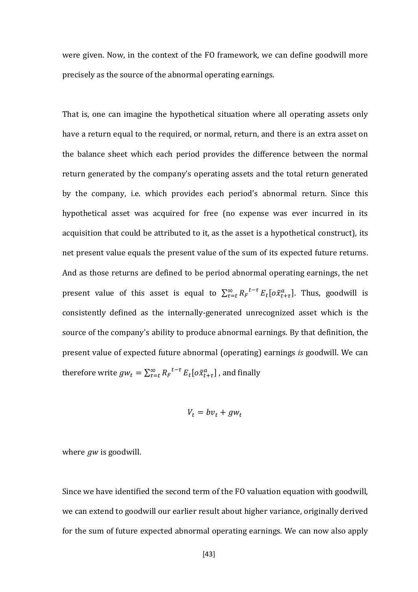were given. Now, in the context of the FO framework, we can define goodwill more precisely as the source of the abnormal operating earnings.

That is, one can imagine the hypothetical situation where all operating assets only have a return equal to the required, or normal, return, and there is an extra asset on the balance sheet which each period provides the difference between the normal return generated by the company's operating assets and the total return generated by the company, i.e. which provides each period's abnormal return. Since this hypothetical asset was acquired for free (no expense was ever incurred in its acquisition that could be attributed to it, as the asset is a hypothetical construct), its net present value equals the present value of the sum of its expected future returns. And as those returns are defined to be period abnormal operating earnings, the net present value of this asset is equal to  $\sum_{\tau=t}^{\infty} R_{F}^{t-\tau} E_{t} [\sigma \tilde{x}_{t+\tau}^{a}]$ . Thus, goodwill is consistently defined as the internally-generated unrecognized asset which is the source of the company's ability to produce abnormal earnings. By that definition, the present value of expected future abnormal (operating) earnings *is* goodwill. We can therefore write  $gw_t = \sum_{\tau=t}^{\infty} R_F^{t-\tau} E_t[\sigma \tilde{x}_{t+\tau}^a]$ , and finally

$$
V_t = bv_t + gw_t
$$

where  $gw$  is goodwill.

Since we have identified the second term of the FO valuation equation with goodwill, we can extend to goodwill our earlier result about higher variance, originally derived for the sum of future expected abnormal operating earnings. We can now also apply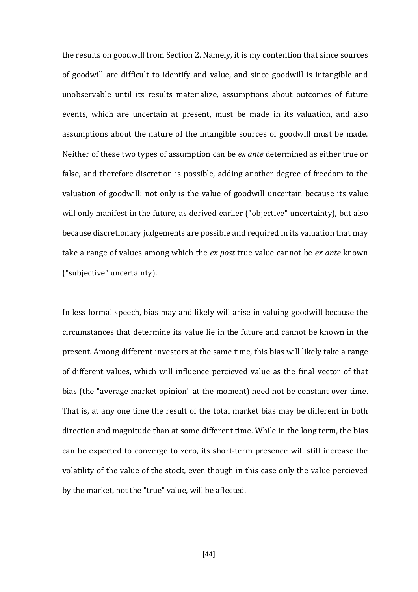the results on goodwill from Section 2. Namely, it is my contention that since sources of goodwill are difficult to identify and value, and since goodwill is intangible and unobservable until its results materialize, assumptions about outcomes of future events, which are uncertain at present, must be made in its valuation, and also assumptions about the nature of the intangible sources of goodwill must be made. Neither of these two types of assumption can be *ex ante* determined as either true or false, and therefore discretion is possible, adding another degree of freedom to the valuation of goodwill: not only is the value of goodwill uncertain because its value will only manifest in the future, as derived earlier ("objective" uncertainty), but also because discretionary judgements are possible and required in its valuation that may take a range of values among which the *ex post* true value cannot be *ex ante* known ("subjective" uncertainty).

In less formal speech, bias may and likely will arise in valuing goodwill because the circumstances that determine its value lie in the future and cannot be known in the present. Among different investors at the same time, this bias will likely take a range of different values, which will influence percieved value as the final vector of that bias (the "average market opinion" at the moment) need not be constant over time. That is, at any one time the result of the total market bias may be different in both direction and magnitude than at some different time. While in the long term, the bias can be expected to converge to zero, its short-term presence will still increase the volatility of the value of the stock, even though in this case only the value percieved by the market, not the "true" value, will be affected.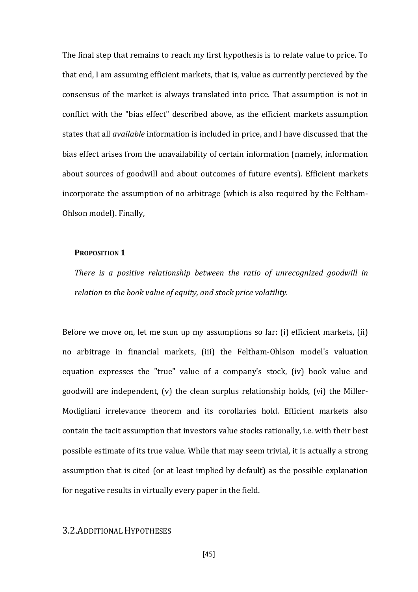The final step that remains to reach my first hypothesis is to relate value to price. To that end, I am assuming efficient markets, that is, value as currently percieved by the consensus of the market is always translated into price. That assumption is not in conflict with the "bias effect" described above, as the efficient markets assumption states that all *available* information is included in price, and I have discussed that the bias effect arises from the unavailability of certain information (namely, information about sources of goodwill and about outcomes of future events). Efficient markets incorporate the assumption of no arbitrage (which is also required by the Feltham-Ohlson model). Finally,

#### **PROPOSITION 1**

*There is a positive relationship between the ratio of unrecognized goodwill in relation to the book value of equity, and stock price volatility.*

Before we move on, let me sum up my assumptions so far: (i) efficient markets, (ii) no arbitrage in financial markets, (iii) the Feltham-Ohlson model's valuation equation expresses the "true" value of a company's stock, (iv) book value and goodwill are independent, (v) the clean surplus relationship holds, (vi) the Miller-Modigliani irrelevance theorem and its corollaries hold. Efficient markets also contain the tacit assumption that investors value stocks rationally, i.e. with their best possible estimate of its true value. While that may seem trivial, it is actually a strong assumption that is cited (or at least implied by default) as the possible explanation for negative results in virtually every paper in the field.

### 3.2.ADDITIONAL HYPOTHESES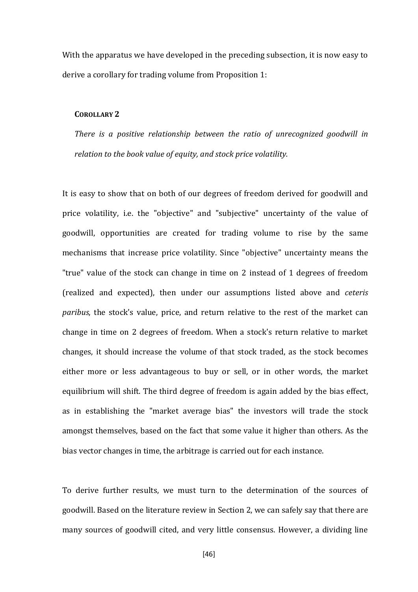With the apparatus we have developed in the preceding subsection, it is now easy to derive a corollary for trading volume from Proposition 1:

#### **COROLLARY 2**

*There is a positive relationship between the ratio of unrecognized goodwill in relation to the book value of equity, and stock price volatility.*

It is easy to show that on both of our degrees of freedom derived for goodwill and price volatility, i.e. the "objective" and "subjective" uncertainty of the value of goodwill, opportunities are created for trading volume to rise by the same mechanisms that increase price volatility. Since "objective" uncertainty means the "true" value of the stock can change in time on 2 instead of 1 degrees of freedom (realized and expected), then under our assumptions listed above and *ceteris paribus*, the stock's value, price, and return relative to the rest of the market can change in time on 2 degrees of freedom. When a stock's return relative to market changes, it should increase the volume of that stock traded, as the stock becomes either more or less advantageous to buy or sell, or in other words, the market equilibrium will shift. The third degree of freedom is again added by the bias effect, as in establishing the "market average bias" the investors will trade the stock amongst themselves, based on the fact that some value it higher than others. As the bias vector changes in time, the arbitrage is carried out for each instance.

To derive further results, we must turn to the determination of the sources of goodwill. Based on the literature review in Section 2, we can safely say that there are many sources of goodwill cited, and very little consensus. However, a dividing line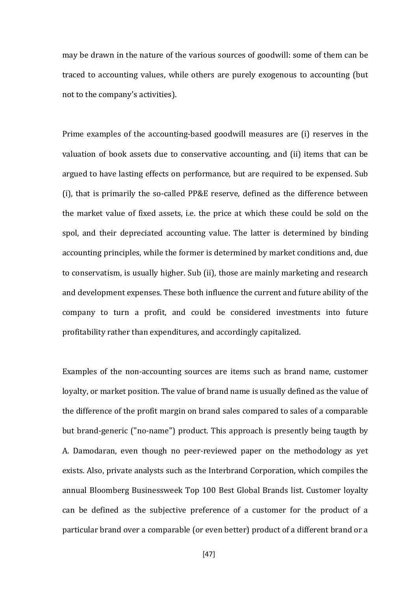may be drawn in the nature of the various sources of goodwill: some of them can be traced to accounting values, while others are purely exogenous to accounting (but not to the company's activities).

Prime examples of the accounting-based goodwill measures are (i) reserves in the valuation of book assets due to conservative accounting, and (ii) items that can be argued to have lasting effects on performance, but are required to be expensed. Sub (i), that is primarily the so-called PP&E reserve, defined as the difference between the market value of fixed assets, i.e. the price at which these could be sold on the spol, and their depreciated accounting value. The latter is determined by binding accounting principles, while the former is determined by market conditions and, due to conservatism, is usually higher. Sub (ii), those are mainly marketing and research and development expenses. These both influence the current and future ability of the company to turn a profit, and could be considered investments into future profitability rather than expenditures, and accordingly capitalized.

Examples of the non-accounting sources are items such as brand name, customer loyalty, or market position. The value of brand name is usually defined as the value of the difference of the profit margin on brand sales compared to sales of a comparable but brand-generic ("no-name") product. This approach is presently being taugth by A. Damodaran, even though no peer-reviewed paper on the methodology as yet exists. Also, private analysts such as the Interbrand Corporation, which compiles the annual Bloomberg Businessweek Top 100 Best Global Brands list. Customer loyalty can be defined as the subjective preference of a customer for the product of a particular brand over a comparable (or even better) product of a different brand or a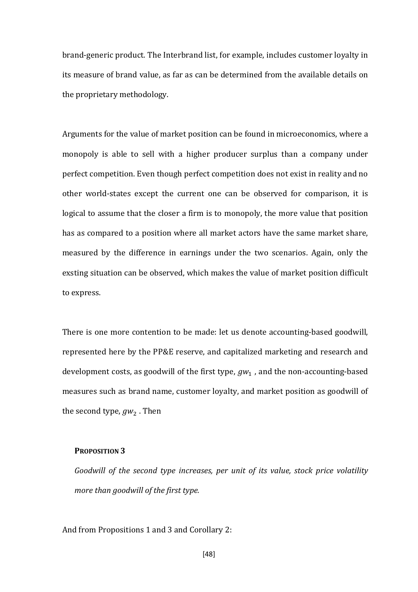brand-generic product. The Interbrand list, for example, includes customer loyalty in its measure of brand value, as far as can be determined from the available details on the proprietary methodology.

Arguments for the value of market position can be found in microeconomics, where a monopoly is able to sell with a higher producer surplus than a company under perfect competition. Even though perfect competition does not exist in reality and no other world-states except the current one can be observed for comparison, it is logical to assume that the closer a firm is to monopoly, the more value that position has as compared to a position where all market actors have the same market share, measured by the difference in earnings under the two scenarios. Again, only the exsting situation can be observed, which makes the value of market position difficult to express.

There is one more contention to be made: let us denote accounting-based goodwill, represented here by the PP&E reserve, and capitalized marketing and research and development costs, as goodwill of the first type,  $gw_1$ , and the non-accounting-based measures such as brand name, customer loyalty, and market position as goodwill of the second type,  $qw_2$ . Then

#### **PROPOSITION 3**

*Goodwill of the second type increases, per unit of its value, stock price volatility more than goodwill of the first type.*

And from Propositions 1 and 3 and Corollary 2: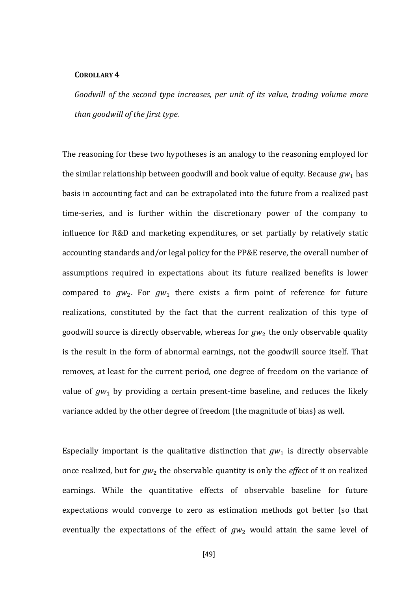#### **COROLLARY 4**

*Goodwill of the second type increases, per unit of its value, trading volume more than goodwill of the first type.*

The reasoning for these two hypotheses is an analogy to the reasoning employed for the similar relationship between goodwill and book value of equity. Because  $gw_1$  has basis in accounting fact and can be extrapolated into the future from a realized past time-series, and is further within the discretionary power of the company to influence for R&D and marketing expenditures, or set partially by relatively static accounting standards and/or legal policy for the PP&E reserve, the overall number of assumptions required in expectations about its future realized benefits is lower compared to  $gw_2$ . For  $gw_1$  there exists a firm point of reference for future realizations, constituted by the fact that the current realization of this type of goodwill source is directly observable, whereas for  $gw_2$  the only observable quality is the result in the form of abnormal earnings, not the goodwill source itself. That removes, at least for the current period, one degree of freedom on the variance of value of  $gw_1$  by providing a certain present-time baseline, and reduces the likely variance added by the other degree of freedom (the magnitude of bias) as well.

Especially important is the qualitative distinction that  $gw_1$  is directly observable once realized, but for  $gw_2$  the observable quantity is only the *effect* of it on realized earnings. While the quantitative effects of observable baseline for future expectations would converge to zero as estimation methods got better (so that eventually the expectations of the effect of  $gw_2$  would attain the same level of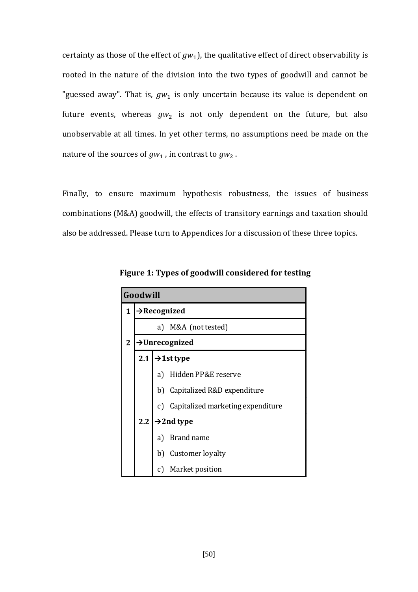certainty as those of the effect of  $gw_1$ ), the qualitative effect of direct observability is rooted in the nature of the division into the two types of goodwill and cannot be "guessed away". That is,  $gw_1$  is only uncertain because its value is dependent on future events, whereas  $gw_2$  is not only dependent on the future, but also unobservable at all times. In yet other terms, no assumptions need be made on the nature of the sources of  $gw_1$ , in contrast to  $gw_2$ .

Finally, to ensure maximum hypothesis robustness, the issues of business combinations (M&A) goodwill, the effects of transitory earnings and taxation should also be addressed. Please turn to Appendices for a discussion of these three topics.

|                | Goodwill                      |                                      |  |  |  |  |  |  |  |  |  |
|----------------|-------------------------------|--------------------------------------|--|--|--|--|--|--|--|--|--|
| 1              |                               | $\rightarrow$ Recognized             |  |  |  |  |  |  |  |  |  |
|                | a) M&A (not tested)           |                                      |  |  |  |  |  |  |  |  |  |
| $\overline{2}$ | $\rightarrow$ Unrecognized    |                                      |  |  |  |  |  |  |  |  |  |
|                | $\rightarrow$ 1st type<br>2.1 |                                      |  |  |  |  |  |  |  |  |  |
|                |                               | Hidden PP&E reserve<br>a)            |  |  |  |  |  |  |  |  |  |
|                |                               | b) Capitalized R&D expenditure       |  |  |  |  |  |  |  |  |  |
|                |                               | c) Capitalized marketing expenditure |  |  |  |  |  |  |  |  |  |
|                | $\rightarrow$ 2nd type<br>2.2 |                                      |  |  |  |  |  |  |  |  |  |
|                |                               | <b>Brand name</b><br>a)              |  |  |  |  |  |  |  |  |  |
|                |                               | Customer loyalty<br>b)               |  |  |  |  |  |  |  |  |  |
|                |                               | Market position<br>C)                |  |  |  |  |  |  |  |  |  |

**Figure 1: Types of goodwill considered for testing**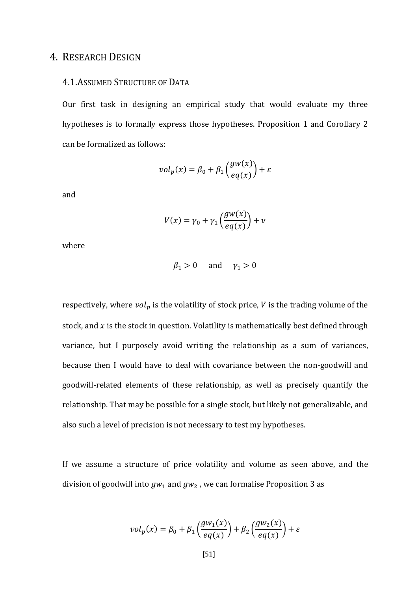# 4. RESEARCH DESIGN

## 4.1.ASSUMED STRUCTURE OF DATA

Our first task in designing an empirical study that would evaluate my three hypotheses is to formally express those hypotheses. Proposition 1 and Corollary 2 can be formalized as follows:

$$
vol_p(x) = \beta_0 + \beta_1 \left( \frac{gw(x)}{eq(x)} \right) + \varepsilon
$$

and

$$
V(x) = \gamma_0 + \gamma_1 \left( \frac{gw(x)}{eq(x)} \right) + \nu
$$

where

$$
\beta_1 > 0 \quad \text{and} \quad \gamma_1 > 0
$$

respectively, where  $vol_p$  is the volatility of stock price,  $V$  is the trading volume of the stock, and  $x$  is the stock in question. Volatility is mathematically best defined through variance, but I purposely avoid writing the relationship as a sum of variances, because then I would have to deal with covariance between the non-goodwill and goodwill-related elements of these relationship, as well as precisely quantify the relationship. That may be possible for a single stock, but likely not generalizable, and also such a level of precision is not necessary to test my hypotheses.

If we assume a structure of price volatility and volume as seen above, and the division of goodwill into  $gw_1$  and  $gw_2$ , we can formalise Proposition 3 as

$$
vol_p(x) = \beta_0 + \beta_1 \left( \frac{gw_1(x)}{eq(x)} \right) + \beta_2 \left( \frac{gw_2(x)}{eq(x)} \right) + \varepsilon
$$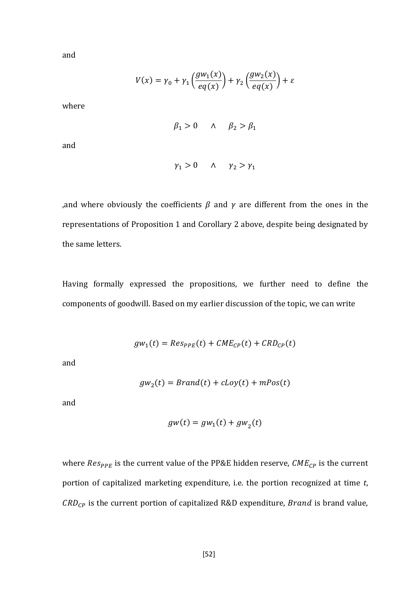and

$$
V(x) = \gamma_0 + \gamma_1 \left( \frac{gw_1(x)}{eq(x)} \right) + \gamma_2 \left( \frac{gw_2(x)}{eq(x)} \right) + \varepsilon
$$

where

$$
\beta_1 > 0 \qquad \wedge \qquad \beta_2 > \beta_1
$$

and

$$
\gamma_1 > 0 \qquad \wedge \qquad \gamma_2 > \gamma_1
$$

, and where obviously the coefficients  $\beta$  and  $\gamma$  are different from the ones in the representations of Proposition 1 and Corollary 2 above, despite being designated by the same letters.

Having formally expressed the propositions, we further need to define the components of goodwill. Based on my earlier discussion of the topic, we can write

$$
gw_1(t) = Res_{PPE}(t) + CME_{CP}(t) + CRD_{CP}(t)
$$

and

$$
gw_2(t) = Brand(t) + c Loy(t) + mPos(t)
$$

and

$$
gw(t) = gw_1(t) + gw_2(t)
$$

where  $Res_{PPE}$  is the current value of the PP&E hidden reserve,  $CME_{CP}$  is the current portion of capitalized marketing expenditure, i.e. the portion recognized at time *t*,  $CRD_{CP}$  is the current portion of capitalized R&D expenditure, *Brand* is brand value,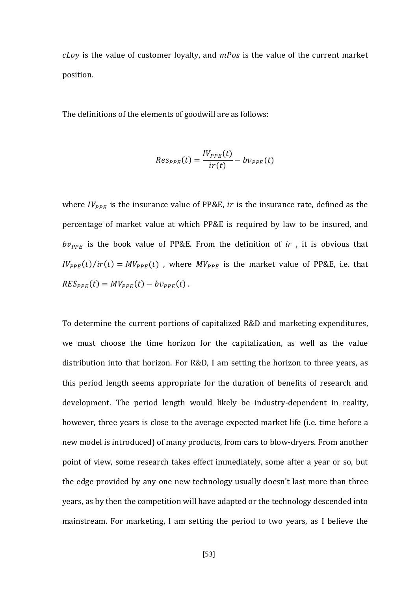$c$ Loy is the value of customer loyalty, and  $m$ Pos is the value of the current market position.

The definitions of the elements of goodwill are as follows:

$$
Res_{PPE}(t) = \frac{IV_{PPE}(t)}{ir(t)} - bv_{PPE}(t)
$$

where  $IV_{PPE}$  is the insurance value of PP&E, *ir* is the insurance rate, defined as the percentage of market value at which PP&E is required by law to be insured, and  $bv_{PPE}$  is the book value of PP&E. From the definition of *ir*, it is obvious that  $IV_{PPE}(t)/ir(t) = MV_{PPE}(t)$ , where  $MV_{PPE}$  is the market value of PP&E, i.e. that  $RES_{PPE}(t) = MV_{PPE}(t) - bv_{PPE}(t)$ .

To determine the current portions of capitalized R&D and marketing expenditures, we must choose the time horizon for the capitalization, as well as the value distribution into that horizon. For R&D, I am setting the horizon to three years, as this period length seems appropriate for the duration of benefits of research and development. The period length would likely be industry-dependent in reality, however, three years is close to the average expected market life (i.e. time before a new model is introduced) of many products, from cars to blow-dryers. From another point of view, some research takes effect immediately, some after a year or so, but the edge provided by any one new technology usually doesn't last more than three years, as by then the competition will have adapted or the technology descended into mainstream. For marketing, I am setting the period to two years, as I believe the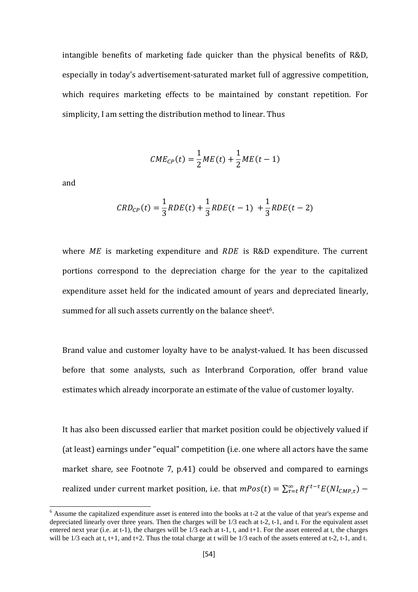intangible benefits of marketing fade quicker than the physical benefits of R&D, especially in today's advertisement-saturated market full of aggressive competition, which requires marketing effects to be maintained by constant repetition. For simplicity, I am setting the distribution method to linear. Thus

$$
CME_{CP}(t) = \frac{1}{2}ME(t) + \frac{1}{2}ME(t-1)
$$

and

$$
CRD_{CP}(t) = \frac{1}{3}RDE(t) + \frac{1}{3}RDE(t-1) + \frac{1}{3}RDE(t-2)
$$

where  $ME$  is marketing expenditure and  $RDE$  is R&D expenditure. The current portions correspond to the depreciation charge for the year to the capitalized expenditure asset held for the indicated amount of years and depreciated linearly, summed for all such assets currently on the balance sheet<sup>[6](#page-52-0)</sup>.

Brand value and customer loyalty have to be analyst-valued. It has been discussed before that some analysts, such as Interbrand Corporation, offer brand value estimates which already incorporate an estimate of the value of customer loyalty.

It has also been discussed earlier that market position could be objectively valued if (at least) earnings under "equal" competition (i.e. one where all actors have the same market share, see Footnote 7, p.41) could be observed and compared to earnings realized under current market position, i.e. that  $mPos(t) = \sum_{\tau=t}^{\infty} Rf^{t-\tau}E(NI_{CMP,\tau})$  –

<span id="page-52-0"></span> <sup>6</sup> Assume the capitalized expenditure asset is entered into the books at t-2 at the value of that year's expense and depreciated linearly over three years. Then the charges will be 1/3 each at t-2, t-1, and t. For the equivalent asset entered next year (i.e. at t-1), the charges will be  $1/3$  each at t-1, t, and t+1. For the asset entered at t, the charges will be  $1/3$  each at t, t+1, and t+2. Thus the total charge at t will be  $1/3$  each of the assets entered at t-2, t-1, and t.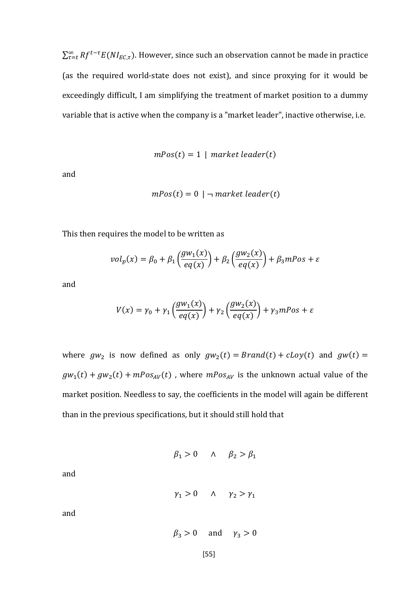$\sum_{\tau=t}^{\infty} R f^{t-\tau} E(N I_{EC,\tau}).$  However, since such an observation cannot be made in practice (as the required world-state does not exist), and since proxying for it would be exceedingly difficult, I am simplifying the treatment of market position to a dummy variable that is active when the company is a "market leader", inactive otherwise, i.e.

$$
mPos(t) = 1 \mid market\ leader(t)
$$

and

$$
mPos(t) = 0 \mid \neg \, market \, leader(t)
$$

This then requires the model to be written as

$$
vol_p(x) = \beta_0 + \beta_1 \left( \frac{gw_1(x)}{eq(x)} \right) + \beta_2 \left( \frac{gw_2(x)}{eq(x)} \right) + \beta_3 mPos + \varepsilon
$$

and

$$
V(x) = \gamma_0 + \gamma_1 \left( \frac{gw_1(x)}{eq(x)} \right) + \gamma_2 \left( \frac{gw_2(x)}{eq(x)} \right) + \gamma_3 mPos + \varepsilon
$$

where  $gw_2$  is now defined as only  $gw_2(t) = Brand(t) + c Loy(t)$  and  $gw(t) =$  $gw_1(t) + gw_2(t) + mPos_{AV}(t)$ , where  $mPos_{AV}$  is the unknown actual value of the market position. Needless to say, the coefficients in the model will again be different than in the previous specifications, but it should still hold that

$$
\beta_1 > 0 \qquad \wedge \qquad \beta_2 > \beta_1
$$

and

$$
\gamma_1 > 0 \qquad \wedge \qquad \gamma_2 > \gamma_1
$$

and

$$
\beta_3 > 0 \quad \text{and} \quad \gamma_3 > 0
$$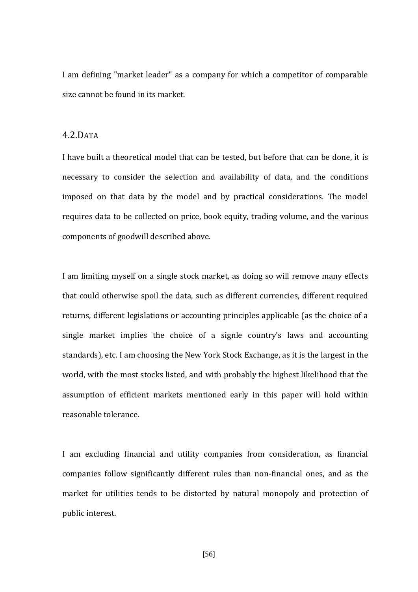I am defining "market leader" as a company for which a competitor of comparable size cannot be found in its market.

#### 4.2.DATA

I have built a theoretical model that can be tested, but before that can be done, it is necessary to consider the selection and availability of data, and the conditions imposed on that data by the model and by practical considerations. The model requires data to be collected on price, book equity, trading volume, and the various components of goodwill described above.

I am limiting myself on a single stock market, as doing so will remove many effects that could otherwise spoil the data, such as different currencies, different required returns, different legislations or accounting principles applicable (as the choice of a single market implies the choice of a signle country's laws and accounting standards), etc. I am choosing the New York Stock Exchange, as it is the largest in the world, with the most stocks listed, and with probably the highest likelihood that the assumption of efficient markets mentioned early in this paper will hold within reasonable tolerance.

I am excluding financial and utility companies from consideration, as financial companies follow significantly different rules than non-financial ones, and as the market for utilities tends to be distorted by natural monopoly and protection of public interest.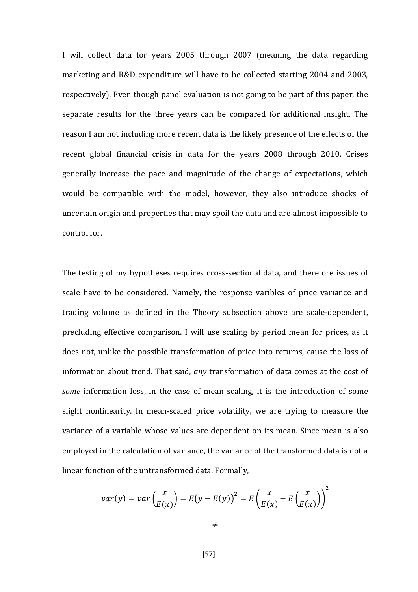I will collect data for years 2005 through 2007 (meaning the data regarding marketing and R&D expenditure will have to be collected starting 2004 and 2003, respectively). Even though panel evaluation is not going to be part of this paper, the separate results for the three years can be compared for additional insight. The reason I am not including more recent data is the likely presence of the effects of the recent global financial crisis in data for the years 2008 through 2010. Crises generally increase the pace and magnitude of the change of expectations, which would be compatible with the model, however, they also introduce shocks of uncertain origin and properties that may spoil the data and are almost impossible to control for.

The testing of my hypotheses requires cross-sectional data, and therefore issues of scale have to be considered. Namely, the response varibles of price variance and trading volume as defined in the Theory subsection above are scale-dependent, precluding effective comparison. I will use scaling by period mean for prices, as it does not, unlike the possible transformation of price into returns, cause the loss of information about trend. That said, *any* transformation of data comes at the cost of *some* information loss, in the case of mean scaling, it is the introduction of some slight nonlinearity. In mean-scaled price volatility, we are trying to measure the variance of a variable whose values are dependent on its mean. Since mean is also employed in the calculation of variance, the variance of the transformed data is not a linear function of the untransformed data. Formally,

$$
var(y) = var\left(\frac{x}{E(x)}\right) = E(y - E(y))^{2} = E\left(\frac{x}{E(x)} - E\left(\frac{x}{E(x)}\right)\right)^{2}
$$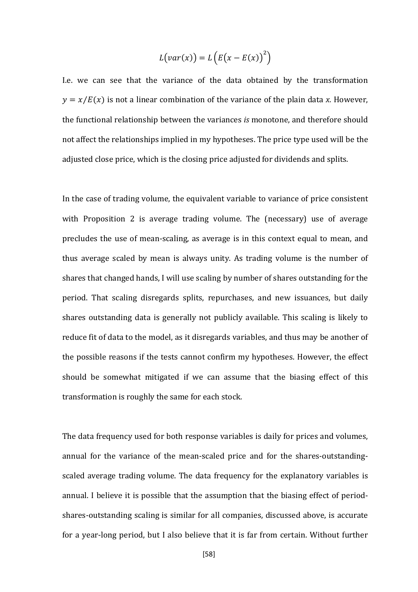$$
L\big(var(x)\big) = L\left(E\big(x - E(x)\big)^2\right)
$$

I.e. we can see that the variance of the data obtained by the transformation  $y = x/E(x)$  is not a linear combination of the variance of the plain data *x*. However, the functional relationship between the variances *is* monotone, and therefore should not affect the relationships implied in my hypotheses. The price type used will be the adjusted close price, which is the closing price adjusted for dividends and splits.

In the case of trading volume, the equivalent variable to variance of price consistent with Proposition 2 is average trading volume. The (necessary) use of average precludes the use of mean-scaling, as average is in this context equal to mean, and thus average scaled by mean is always unity. As trading volume is the number of shares that changed hands, I will use scaling by number of shares outstanding for the period. That scaling disregards splits, repurchases, and new issuances, but daily shares outstanding data is generally not publicly available. This scaling is likely to reduce fit of data to the model, as it disregards variables, and thus may be another of the possible reasons if the tests cannot confirm my hypotheses. However, the effect should be somewhat mitigated if we can assume that the biasing effect of this transformation is roughly the same for each stock.

The data frequency used for both response variables is daily for prices and volumes, annual for the variance of the mean-scaled price and for the shares-outstandingscaled average trading volume. The data frequency for the explanatory variables is annual. I believe it is possible that the assumption that the biasing effect of periodshares-outstanding scaling is similar for all companies, discussed above, is accurate for a year-long period, but I also believe that it is far from certain. Without further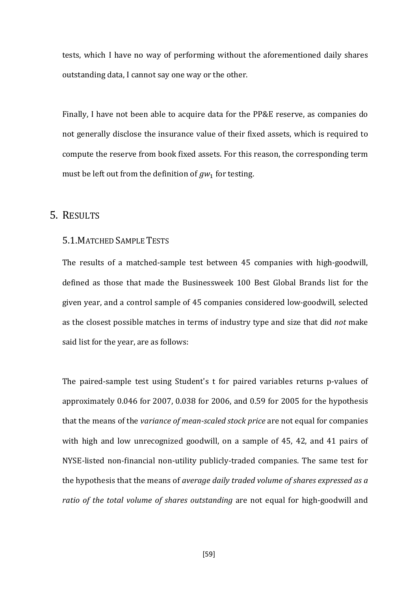tests, which I have no way of performing without the aforementioned daily shares outstanding data, I cannot say one way or the other.

Finally, I have not been able to acquire data for the PP&E reserve, as companies do not generally disclose the insurance value of their fixed assets, which is required to compute the reserve from book fixed assets. For this reason, the corresponding term must be left out from the definition of  $gw_1$  for testing.

# 5. RESULTS

#### 5.1.MATCHED SAMPLE TESTS

The results of a matched-sample test between 45 companies with high-goodwill, defined as those that made the Businessweek 100 Best Global Brands list for the given year, and a control sample of 45 companies considered low-goodwill, selected as the closest possible matches in terms of industry type and size that did *not* make said list for the year, are as follows:

The paired-sample test using Student's t for paired variables returns p-values of approximately 0.046 for 2007, 0.038 for 2006, and 0.59 for 2005 for the hypothesis that the means of the *variance of mean-scaled stock price* are not equal for companies with high and low unrecognized goodwill, on a sample of 45, 42, and 41 pairs of NYSE-listed non-financial non-utility publicly-traded companies. The same test for the hypothesis that the means of *average daily traded volume of shares expressed as a ratio of the total volume of shares outstanding* are not equal for high-goodwill and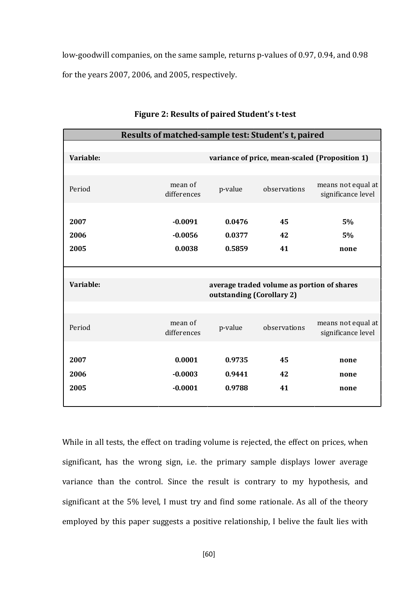low-goodwill companies, on the same sample, returns p-values of 0.97, 0.94, and 0.98 for the years 2007, 2006, and 2005, respectively.

|           | Results of matched-sample test: Student's t, paired |                           |                                            |                                                |
|-----------|-----------------------------------------------------|---------------------------|--------------------------------------------|------------------------------------------------|
|           |                                                     |                           |                                            |                                                |
| Variable: |                                                     |                           |                                            | variance of price, mean-scaled (Proposition 1) |
|           |                                                     |                           |                                            |                                                |
| Period    | mean of<br>differences                              | p-value                   | observations                               | means not equal at<br>significance level       |
|           |                                                     |                           |                                            |                                                |
| 2007      | $-0.0091$                                           | 0.0476                    | 45                                         | 5%                                             |
| 2006      | $-0.0056$                                           | 0.0377                    | 42                                         | 5%                                             |
| 2005      | 0.0038                                              | 0.5859                    | 41                                         | none                                           |
|           |                                                     |                           |                                            |                                                |
|           |                                                     |                           |                                            |                                                |
| Variable: |                                                     | outstanding (Corollary 2) | average traded volume as portion of shares |                                                |
|           |                                                     |                           |                                            |                                                |
| Period    | mean of<br>differences                              | p-value                   | observations                               | means not equal at<br>significance level       |
|           |                                                     |                           |                                            |                                                |
| 2007      | 0.0001                                              | 0.9735                    | 45                                         | none                                           |
| 2006      | $-0.0003$                                           | 0.9441                    | 42                                         | none                                           |
| 2005      | $-0.0001$                                           | 0.9788                    | 41                                         | none                                           |

**Figure 2: Results of paired Student's t-test**

While in all tests, the effect on trading volume is rejected, the effect on prices, when significant, has the wrong sign, i.e. the primary sample displays lower average variance than the control. Since the result is contrary to my hypothesis, and significant at the 5% level, I must try and find some rationale. As all of the theory employed by this paper suggests a positive relationship, I belive the fault lies with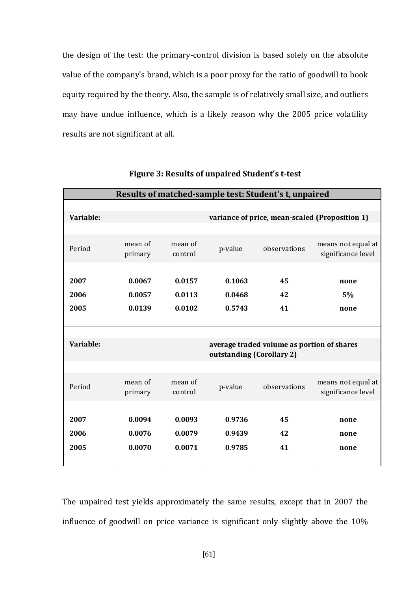the design of the test: the primary-control division is based solely on the absolute value of the company's brand, which is a poor proxy for the ratio of goodwill to book equity required by the theory. Also, the sample is of relatively small size, and outliers may have undue influence, which is a likely reason why the 2005 price volatility results are not significant at all.

| Results of matched-sample test: Student's t, unpaired |                    |                    |                           |                                            |                                                |  |  |  |  |
|-------------------------------------------------------|--------------------|--------------------|---------------------------|--------------------------------------------|------------------------------------------------|--|--|--|--|
| Variable:                                             |                    |                    |                           |                                            | variance of price, mean-scaled (Proposition 1) |  |  |  |  |
|                                                       |                    |                    |                           |                                            |                                                |  |  |  |  |
| Period                                                | mean of<br>primary | mean of<br>control | p-value                   | observations                               | means not equal at<br>significance level       |  |  |  |  |
| 2007                                                  | 0.0067             | 0.0157             | 0.1063                    | 45                                         | none                                           |  |  |  |  |
| 2006                                                  | 0.0057             | 0.0113             | 0.0468                    | 42                                         | 5%                                             |  |  |  |  |
| 2005                                                  | 0.0139             | 0.0102             | 0.5743                    | 41                                         | none                                           |  |  |  |  |
|                                                       |                    |                    |                           |                                            |                                                |  |  |  |  |
|                                                       |                    |                    |                           |                                            |                                                |  |  |  |  |
| Variable:                                             |                    |                    | outstanding (Corollary 2) | average traded volume as portion of shares |                                                |  |  |  |  |
|                                                       |                    |                    |                           |                                            |                                                |  |  |  |  |
| Period                                                | mean of<br>primary | mean of<br>control | p-value                   | observations                               | means not equal at<br>significance level       |  |  |  |  |
|                                                       |                    |                    |                           |                                            |                                                |  |  |  |  |
| 2007                                                  | 0.0094             | 0.0093             | 0.9736                    | 45                                         | none                                           |  |  |  |  |
| 2006                                                  | 0.0076             | 0.0079             | 0.9439                    | 42                                         | none                                           |  |  |  |  |
| 2005                                                  | 0.0070             | 0.0071             | 0.9785                    | 41                                         | none                                           |  |  |  |  |
|                                                       |                    |                    |                           |                                            |                                                |  |  |  |  |

**Figure 3: Results of unpaired Student's t-test**

The unpaired test yields approximately the same results, except that in 2007 the influence of goodwill on price variance is significant only slightly above the 10%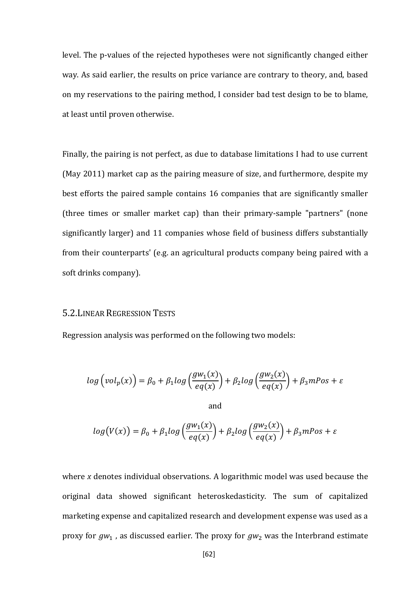level. The p-values of the rejected hypotheses were not significantly changed either way. As said earlier, the results on price variance are contrary to theory, and, based on my reservations to the pairing method, I consider bad test design to be to blame, at least until proven otherwise.

Finally, the pairing is not perfect, as due to database limitations I had to use current (May 2011) market cap as the pairing measure of size, and furthermore, despite my best efforts the paired sample contains 16 companies that are significantly smaller (three times or smaller market cap) than their primary-sample "partners" (none significantly larger) and 11 companies whose field of business differs substantially from their counterparts' (e.g. an agricultural products company being paired with a soft drinks company).

#### 5.2.LINEAR REGRESSION TESTS

Regression analysis was performed on the following two models:

$$
log\left(vol_p(x)\right) = \beta_0 + \beta_1 log\left(\frac{gw_1(x)}{eq(x)}\right) + \beta_2 log\left(\frac{gw_2(x)}{eq(x)}\right) + \beta_3 mPos + \varepsilon
$$
  
and

$$
log(V(x)) = \beta_0 + \beta_1 log\left(\frac{gw_1(x)}{eq(x)}\right) + \beta_2 log\left(\frac{gw_2(x)}{eq(x)}\right) + \beta_3 mPos + \varepsilon
$$

where *x* denotes individual observations. A logarithmic model was used because the original data showed significant heteroskedasticity. The sum of capitalized marketing expense and capitalized research and development expense was used as a proxy for  $gw_1$ , as discussed earlier. The proxy for  $gw_2$  was the Interbrand estimate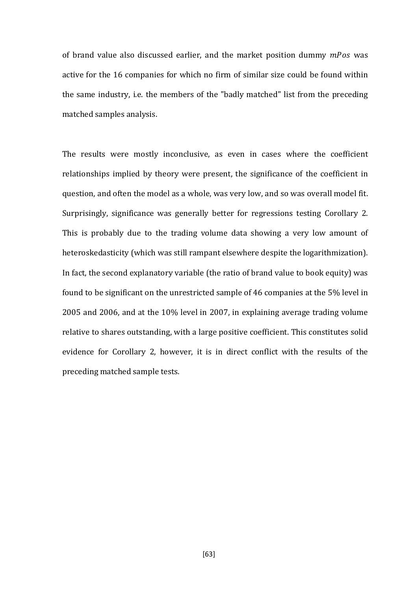of brand value also discussed earlier, and the market position dummy  $mPos$  was active for the 16 companies for which no firm of similar size could be found within the same industry, i.e. the members of the "badly matched" list from the preceding matched samples analysis.

The results were mostly inconclusive, as even in cases where the coefficient relationships implied by theory were present, the significance of the coefficient in question, and often the model as a whole, was very low, and so was overall model fit. Surprisingly, significance was generally better for regressions testing Corollary 2. This is probably due to the trading volume data showing a very low amount of heteroskedasticity (which was still rampant elsewhere despite the logarithmization). In fact, the second explanatory variable (the ratio of brand value to book equity) was found to be significant on the unrestricted sample of 46 companies at the 5% level in 2005 and 2006, and at the 10% level in 2007, in explaining average trading volume relative to shares outstanding, with a large positive coefficient. This constitutes solid evidence for Corollary 2, however, it is in direct conflict with the results of the preceding matched sample tests.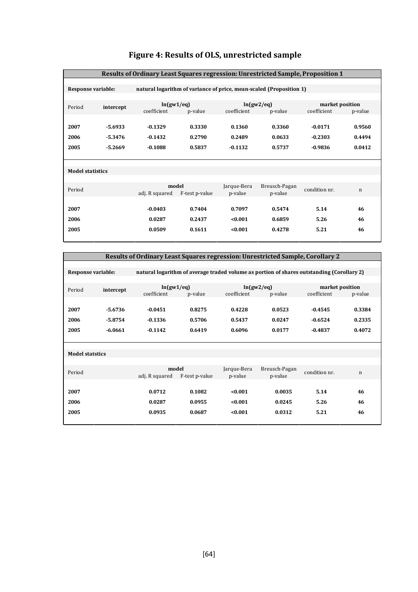| Results of Ordinary Least Squares regression: Unrestricted Sample, Proposition 1 |           |                                                                     |                |             |               |               |                 |  |
|----------------------------------------------------------------------------------|-----------|---------------------------------------------------------------------|----------------|-------------|---------------|---------------|-----------------|--|
|                                                                                  |           |                                                                     |                |             |               |               |                 |  |
| <b>Response variable:</b>                                                        |           | natural logarithm of variance of price, mean-scaled (Proposition 1) |                |             |               |               |                 |  |
|                                                                                  |           |                                                                     |                |             |               |               |                 |  |
| Period                                                                           | intercept | ln(gw1/eq)                                                          |                |             | ln(gw2/eq)    |               | market position |  |
|                                                                                  |           | coefficient                                                         | p-value        | coefficient | p-value       | coefficient   | p-value         |  |
|                                                                                  |           |                                                                     |                |             |               |               |                 |  |
| 2007                                                                             | $-5.6933$ | $-0.1329$                                                           | 0.3330         | 0.1360      | 0.3360        | $-0.0171$     | 0.9560          |  |
| 2006                                                                             | $-5.3476$ | $-0.1432$                                                           | 0.2790         | 0.2489      | 0.0633        | $-0.2303$     | 0.4494          |  |
| 2005                                                                             | $-5.2669$ | $-0.1088$                                                           | 0.5837         | $-0.1132$   | 0.5737        | $-0.9836$     | 0.0412          |  |
|                                                                                  |           |                                                                     |                |             |               |               |                 |  |
|                                                                                  |           |                                                                     |                |             |               |               |                 |  |
| <b>Model statistics</b>                                                          |           |                                                                     |                |             |               |               |                 |  |
|                                                                                  |           |                                                                     |                |             |               |               |                 |  |
| Period                                                                           |           |                                                                     | model          | Jarque-Bera | Breusch-Pagan | condition nr. | $\mathbf n$     |  |
|                                                                                  |           | adj. R squared                                                      | F-test p-value | p-value     | p-value       |               |                 |  |
|                                                                                  |           |                                                                     |                |             |               |               |                 |  |
| 2007                                                                             |           | $-0.0403$                                                           | 0.7404         | 0.7097      | 0.5474        | 5.14          | 46              |  |
| 2006                                                                             |           | 0.0287                                                              | 0.2437         | < 0.001     | 0.6859        | 5.26          | 46              |  |
| 2005                                                                             |           | 0.0509                                                              | 0.1611         | < 0.001     | 0.4278        | 5.21          | 46              |  |
|                                                                                  |           |                                                                     |                |             |               |               |                 |  |

# **Figure 4: Results of OLS, unrestricted sample**

| <b>Results of Ordinary Least Squares regression: Unrestricted Sample, Corollary 2</b>     |           |                         |                |                        |                          |               |                 |  |  |
|-------------------------------------------------------------------------------------------|-----------|-------------------------|----------------|------------------------|--------------------------|---------------|-----------------|--|--|
| natural logarithm of average traded volume as portion of shares outstanding (Corollary 2) |           |                         |                |                        |                          |               |                 |  |  |
| Response variable:                                                                        |           |                         |                |                        |                          |               |                 |  |  |
| Period<br>intercept                                                                       |           | ln(gw1/eq)              |                | ln(gw2/eq)             |                          |               | market position |  |  |
|                                                                                           |           | coefficient             | p-value        | coefficient            | p-value                  | coefficient   | p-value         |  |  |
| 2007                                                                                      | $-5.6736$ | $-0.0451$               | 0.8275         | 0.4228                 | 0.0523                   | $-0.4545$     | 0.3384          |  |  |
|                                                                                           | $-5.8754$ |                         |                | 0.5437                 | 0.0247                   | $-0.6524$     | 0.2335          |  |  |
| 2006                                                                                      |           | $-0.1336$               | 0.5706         |                        |                          |               |                 |  |  |
| 2005                                                                                      | $-6.0661$ | $-0.1142$               | 0.6419         | 0.6096                 | 0.0177                   | $-0.4837$     | 0.4072          |  |  |
|                                                                                           |           |                         |                |                        |                          |               |                 |  |  |
| <b>Model statstics</b>                                                                    |           |                         |                |                        |                          |               |                 |  |  |
|                                                                                           |           |                         |                |                        |                          |               |                 |  |  |
| Period                                                                                    |           | model<br>adj. R squared | F-test p-value | Jarque-Bera<br>p-value | Breusch-Pagan<br>p-value | condition nr. | $\mathbf n$     |  |  |
|                                                                                           |           |                         |                |                        |                          |               |                 |  |  |
| 2007                                                                                      |           | 0.0712                  | 0.1082         | < 0.001                | 0.0035                   | 5.14          | 46              |  |  |
| 2006                                                                                      |           | 0.0287                  | 0.0955         | < 0.001                | 0.0245                   | 5.26          | 46              |  |  |
| 2005                                                                                      |           | 0.0935                  | 0.0687         | < 0.001                | 0.0312                   | 5.21          | 46              |  |  |
|                                                                                           |           |                         |                |                        |                          |               |                 |  |  |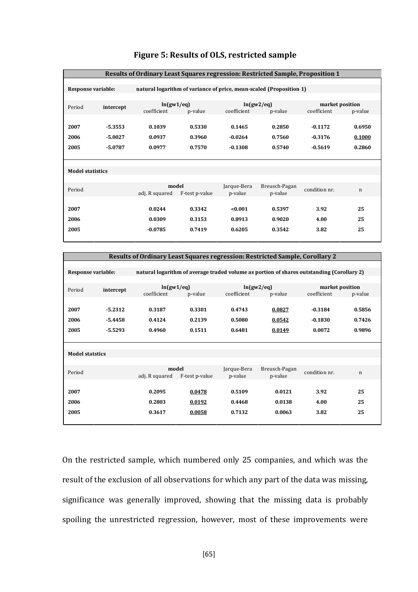| <b>Results of Ordinary Least Squares regression: Restricted Sample, Proposition 1</b> |           |                                                                     |                |             |               |               |                 |  |  |
|---------------------------------------------------------------------------------------|-----------|---------------------------------------------------------------------|----------------|-------------|---------------|---------------|-----------------|--|--|
|                                                                                       |           |                                                                     |                |             |               |               |                 |  |  |
| Response variable:                                                                    |           | natural logarithm of variance of price, mean-scaled (Proposition 1) |                |             |               |               |                 |  |  |
|                                                                                       |           |                                                                     |                |             |               |               |                 |  |  |
| Period                                                                                | intercept | ln(gw1/eq)                                                          |                | ln(gw2/eq)  |               |               | market position |  |  |
|                                                                                       |           | coefficient                                                         | p-value        | coefficient | p-value       | coefficient   | p-value         |  |  |
|                                                                                       |           |                                                                     |                |             |               |               |                 |  |  |
| 2007                                                                                  | $-5.3553$ | 0.1039                                                              | 0.5330         | 0.1465      | 0.2850        | $-0.1172$     | 0.6950          |  |  |
| 2006                                                                                  | $-5.0027$ | 0.0937                                                              | 0.3960         | $-0.0264$   | 0.7560        | $-0.3176$     | 0.1000          |  |  |
| 2005                                                                                  | $-5.0787$ | 0.0977                                                              | 0.7570         | $-0.1308$   | 0.5740        | $-0.5619$     | 0.2860          |  |  |
|                                                                                       |           |                                                                     |                |             |               |               |                 |  |  |
|                                                                                       |           |                                                                     |                |             |               |               |                 |  |  |
| <b>Model statistics</b>                                                               |           |                                                                     |                |             |               |               |                 |  |  |
|                                                                                       |           |                                                                     |                |             |               |               |                 |  |  |
| Period                                                                                |           |                                                                     | model          | Jarque-Bera | Breusch-Pagan | condition nr. | $\mathbf n$     |  |  |
|                                                                                       |           | adj. R squared                                                      | F-test p-value | p-value     | p-value       |               |                 |  |  |
|                                                                                       |           |                                                                     |                |             |               |               |                 |  |  |
| 2007                                                                                  |           | 0.0244                                                              | 0.3342         | < 0.001     | 0.5397        | 3.92          | 25              |  |  |
| 2006                                                                                  |           | 0.0309                                                              | 0.3153         | 0.8913      | 0.9020        | 4.00          | 25              |  |  |
| 2005                                                                                  |           | $-0.0785$                                                           | 0.7419         | 0.6205      | 0.3542        | 3.82          | 25              |  |  |
|                                                                                       |           |                                                                     |                |             |               |               |                 |  |  |

# **Figure 5: Results of OLS, restricted sample**

| <b>Results of Ordinary Least Squares regression: Restricted Sample, Corollary 2</b>                                    |           |                |                |             |               |                 |             |  |  |
|------------------------------------------------------------------------------------------------------------------------|-----------|----------------|----------------|-------------|---------------|-----------------|-------------|--|--|
|                                                                                                                        |           |                |                |             |               |                 |             |  |  |
| <b>Response variable:</b><br>natural logarithm of average traded volume as portion of shares outstanding (Corollary 2) |           |                |                |             |               |                 |             |  |  |
|                                                                                                                        |           |                |                |             |               |                 |             |  |  |
| Period                                                                                                                 | intercept | ln(gw1/eq)     |                | ln(gw2/eq)  |               | market position |             |  |  |
|                                                                                                                        |           | coefficient    | p-value        | coefficient | p-value       | coefficient     | p-value     |  |  |
|                                                                                                                        |           |                |                |             |               |                 |             |  |  |
| 2007                                                                                                                   | $-5.2312$ | 0.3187         | 0.3301         | 0.4743      | 0.0827        | $-0.3184$       | 0.5856      |  |  |
| 2006                                                                                                                   | $-5.4458$ | 0.4124         | 0.2139         | 0.5080      | 0.0542        | $-0.1830$       | 0.7426      |  |  |
|                                                                                                                        |           |                |                |             |               |                 |             |  |  |
| 2005                                                                                                                   | $-5.5293$ | 0.4960         | 0.1511         | 0.6481      | 0.0149        | 0.0072          | 0.9896      |  |  |
|                                                                                                                        |           |                |                |             |               |                 |             |  |  |
|                                                                                                                        |           |                |                |             |               |                 |             |  |  |
| <b>Model statstics</b>                                                                                                 |           |                |                |             |               |                 |             |  |  |
|                                                                                                                        |           |                |                |             |               |                 |             |  |  |
| Period                                                                                                                 |           | model          |                | Jarque-Bera | Breusch-Pagan | condition nr.   | $\mathbf n$ |  |  |
|                                                                                                                        |           | adj. R squared | F-test p-value | p-value     | p-value       |                 |             |  |  |
|                                                                                                                        |           |                |                |             |               |                 |             |  |  |
| 2007                                                                                                                   |           | 0.2095         | 0.0478         | 0.5109      | 0.0121        | 3.92            | 25          |  |  |
| 2006                                                                                                                   |           | 0.2803         |                | 0.4468      | 0.0138        | 4.00            | 25          |  |  |
|                                                                                                                        |           |                | 0.0192         |             |               |                 |             |  |  |
| 2005                                                                                                                   |           | 0.3617         | 0.0058         | 0.7132      | 0.0063        | 3.82            | 25          |  |  |
|                                                                                                                        |           |                |                |             |               |                 |             |  |  |

On the restricted sample, which numbered only 25 companies, and which was the result of the exclusion of all observations for which any part of the data was missing, significance was generally improved, showing that the missing data is probably spoiling the unrestricted regression, however, most of these improvements were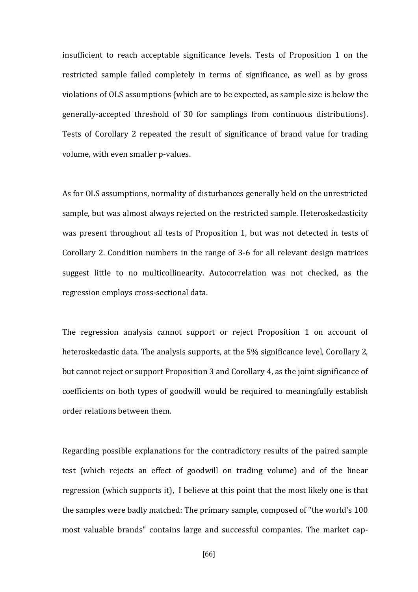insufficient to reach acceptable significance levels. Tests of Proposition 1 on the restricted sample failed completely in terms of significance, as well as by gross violations of OLS assumptions (which are to be expected, as sample size is below the generally-accepted threshold of 30 for samplings from continuous distributions). Tests of Corollary 2 repeated the result of significance of brand value for trading volume, with even smaller p-values.

As for OLS assumptions, normality of disturbances generally held on the unrestricted sample, but was almost always rejected on the restricted sample. Heteroskedasticity was present throughout all tests of Proposition 1, but was not detected in tests of Corollary 2. Condition numbers in the range of 3-6 for all relevant design matrices suggest little to no multicollinearity. Autocorrelation was not checked, as the regression employs cross-sectional data.

The regression analysis cannot support or reject Proposition 1 on account of heteroskedastic data. The analysis supports, at the 5% significance level, Corollary 2, but cannot reject or support Proposition 3 and Corollary 4, as the joint significance of coefficients on both types of goodwill would be required to meaningfully establish order relations between them.

Regarding possible explanations for the contradictory results of the paired sample test (which rejects an effect of goodwill on trading volume) and of the linear regression (which supports it), I believe at this point that the most likely one is that the samples were badly matched: The primary sample, composed of "the world's 100 most valuable brands" contains large and successful companies. The market cap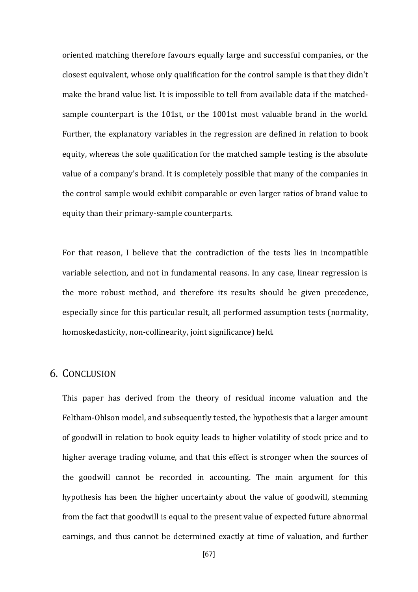oriented matching therefore favours equally large and successful companies, or the closest equivalent, whose only qualification for the control sample is that they didn't make the brand value list. It is impossible to tell from available data if the matchedsample counterpart is the 101st, or the 1001st most valuable brand in the world. Further, the explanatory variables in the regression are defined in relation to book equity, whereas the sole qualification for the matched sample testing is the absolute value of a company's brand. It is completely possible that many of the companies in the control sample would exhibit comparable or even larger ratios of brand value to equity than their primary-sample counterparts.

For that reason, I believe that the contradiction of the tests lies in incompatible variable selection, and not in fundamental reasons. In any case, linear regression is the more robust method, and therefore its results should be given precedence, especially since for this particular result, all performed assumption tests (normality, homoskedasticity, non-collinearity, joint significance) held.

# 6. CONCLUSION

This paper has derived from the theory of residual income valuation and the Feltham-Ohlson model, and subsequently tested, the hypothesis that a larger amount of goodwill in relation to book equity leads to higher volatility of stock price and to higher average trading volume, and that this effect is stronger when the sources of the goodwill cannot be recorded in accounting. The main argument for this hypothesis has been the higher uncertainty about the value of goodwill, stemming from the fact that goodwill is equal to the present value of expected future abnormal earnings, and thus cannot be determined exactly at time of valuation, and further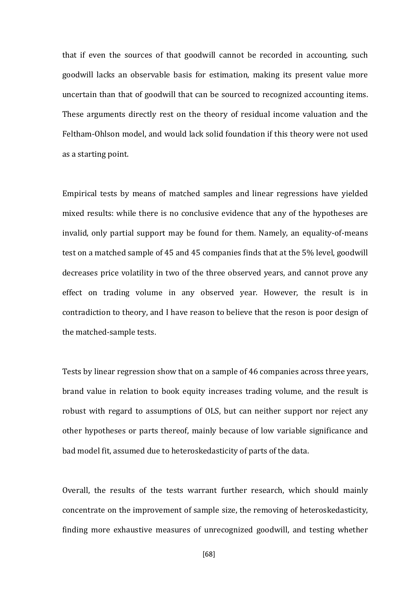that if even the sources of that goodwill cannot be recorded in accounting, such goodwill lacks an observable basis for estimation, making its present value more uncertain than that of goodwill that can be sourced to recognized accounting items. These arguments directly rest on the theory of residual income valuation and the Feltham-Ohlson model, and would lack solid foundation if this theory were not used as a starting point.

Empirical tests by means of matched samples and linear regressions have yielded mixed results: while there is no conclusive evidence that any of the hypotheses are invalid, only partial support may be found for them. Namely, an equality-of-means test on a matched sample of 45 and 45 companies finds that at the 5% level, goodwill decreases price volatility in two of the three observed years, and cannot prove any effect on trading volume in any observed year. However, the result is in contradiction to theory, and I have reason to believe that the reson is poor design of the matched-sample tests.

Tests by linear regression show that on a sample of 46 companies across three years, brand value in relation to book equity increases trading volume, and the result is robust with regard to assumptions of OLS, but can neither support nor reject any other hypotheses or parts thereof, mainly because of low variable significance and bad model fit, assumed due to heteroskedasticity of parts of the data.

Overall, the results of the tests warrant further research, which should mainly concentrate on the improvement of sample size, the removing of heteroskedasticity, finding more exhaustive measures of unrecognized goodwill, and testing whether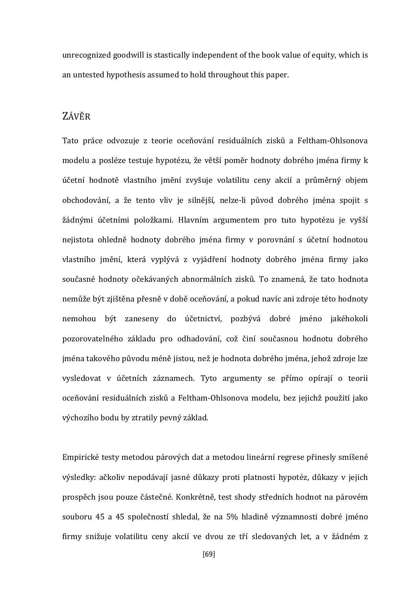unrecognized goodwill is stastically independent of the book value of equity, which is an untested hypothesis assumed to hold throughout this paper.

# ZÁVĚR

Tato práce odvozuje z teorie oceňování residuálních zisků a Feltham-Ohlsonova modelu a posléze testuje hypotézu, že větší poměr hodnoty dobrého jména firmy k účetní hodnotě vlastního jmění zvyšuje volatilitu ceny akcií a průměrný objem obchodování, a že tento vliv je silnější, nelze-li původ dobrého jména spojit s žádnými účetními položkami. Hlavním argumentem pro tuto hypotézu je vyšší nejistota ohledně hodnoty dobrého jména firmy v porovnání s účetní hodnotou vlastního jmění, která vyplývá z vyjádření hodnoty dobrého jména firmy jako současné hodnoty očekávaných abnormálních zisků. To znamená, že tato hodnota nemůže být zjištěna přesně v době oceňování, a pokud navíc ani zdroje této hodnoty nemohou být zaneseny do účetnictví, pozbývá dobré jméno jakéhokoli pozorovatelného základu pro odhadování, což činí současnou hodnotu dobrého jména takového původu méně jistou, než je hodnota dobrého jména, jehož zdroje lze vysledovat v účetních záznamech. Tyto argumenty se přímo opírají o teorii oceňování residuálních zisků a Feltham-Ohlsonova modelu, bez jejichž použití jako výchozího bodu by ztratily pevný základ.

Empirické testy metodou párových dat a metodou lineární regrese přinesly smíšené výsledky: ačkoliv nepodávají jasné důkazy proti platnosti hypotéz, důkazy v jejich prospěch jsou pouze částečné. Konkrétně, test shody středních hodnot na párovém souboru 45 a 45 společností shledal, že na 5% hladině významnosti dobré jméno firmy snižuje volatilitu ceny akcií ve dvou ze tří sledovaných let, a v žádném z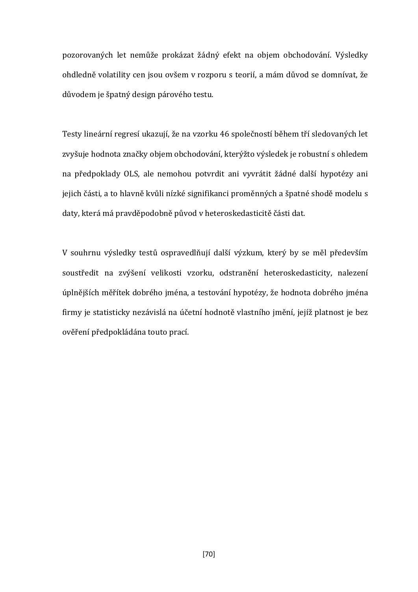pozorovaných let nemůže prokázat žádný efekt na objem obchodování. Výsledky ohdledně volatility cen jsou ovšem v rozporu s teorií, a mám důvod se domnívat, že důvodem je špatný design párového testu.

Testy lineární regresí ukazují, že na vzorku 46 společností během tří sledovaných let zvyšuje hodnota značky objem obchodování, kterýžto výsledek je robustní s ohledem na předpoklady OLS, ale nemohou potvrdit ani vyvrátit žádné další hypotézy ani jejich části, a to hlavně kvůli nízké signifikanci proměnných a špatné shodě modelu s daty, která má pravděpodobně původ v heteroskedasticitě části dat.

V souhrnu výsledky testů ospravedlňují další výzkum, který by se měl především soustředit na zvýšení velikosti vzorku, odstranění heteroskedasticity, nalezení úplnějších měřítek dobrého jména, a testování hypotézy, že hodnota dobrého jména firmy je statisticky nezávislá na účetní hodnotě vlastního jmění, jejíž platnost je bez ověření předpokládána touto prací.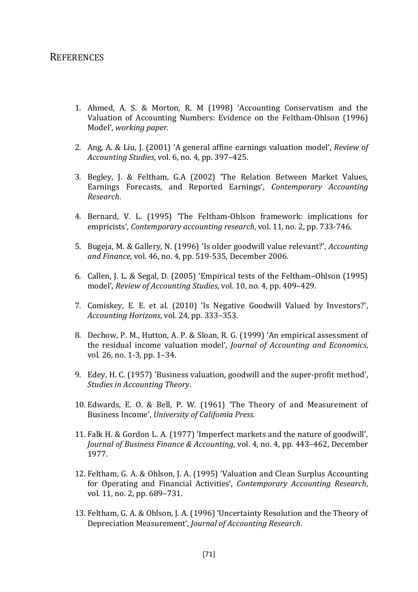# REFERENCES

- 1. Ahmed, A. S. & Morton, R. M (1998) 'Accounting Conservatism and the Valuation of Accounting Numbers: Evidence on the Feltham-Ohlson (1996) Model', *working paper*.
- 2. Ang, A. & Liu, J. (2001) 'A general affine earnings valuation model', *Review of Accounting Studies*, vol. 6, no. 4, pp. 397–425.
- 3. Begley, J. & Feltham, G.A (2002) 'The Relation Between Market Values, Earnings Forecasts, and Reported Earnings', *Contemporary Accounting Research*.
- 4. Bernard, V. L. (1995) 'The Feltham-Ohlson framework: implications for empricists', *Contemporary accounting research*, vol. 11, no. 2, pp. 733-746.
- 5. Bugeja, M. & Gallery, N. (1996) 'Is older goodwill value relevant?', *Accounting and Finance*, vol. 46, no. 4, pp. 519-535, December 2006.
- 6. Callen, J. L. & Segal, D. (2005) 'Empirical tests of the Feltham–Ohlson (1995) model', *Review of Accounting Studies*, vol. 10, no. 4, pp. 409–429.
- 7. Comiskey, E. E. et al. (2010) 'Is Negative Goodwill Valued by Investors?', *Accounting Horizons*, vol. 24, pp. 333–353.
- 8. Dechow, P. M., Hutton, A. P. & Sloan, R. G. (1999) 'An empirical assessment of the residual income valuation model', *Journal of Accounting and Economics*, vol. 26, no. 1-3, pp. 1–34.
- 9. Edey, H. C. (1957) 'Business valuation, goodwill and the super-profit method', *Studies in Accounting Theory*.
- 10. Edwards, E. O. & Bell, P. W. (1961) 'The Theory of and Measurement of Business Income', *University of Califomia Press*.
- 11. Falk H. & Gordon L. A. (1977) 'Imperfect markets and the nature of goodwill', *Journal of Business Finance & Accounting*, vol. 4, no. 4, pp. 443–462, December 1977.
- 12. Feltham, G. A. & Ohlson, J. A. (1995) 'Valuation and Clean Surplus Accounting for Operating and Financial Activities', *Contemporary Accounting Research*, vol. 11, no. 2, pp. 689–731.
- 13. Feltham, G. A. & Ohlson, J. A. (1996) 'Uncertainty Resolution and the Theory of Depreciation Measurement', *Journal of Accounting Research*.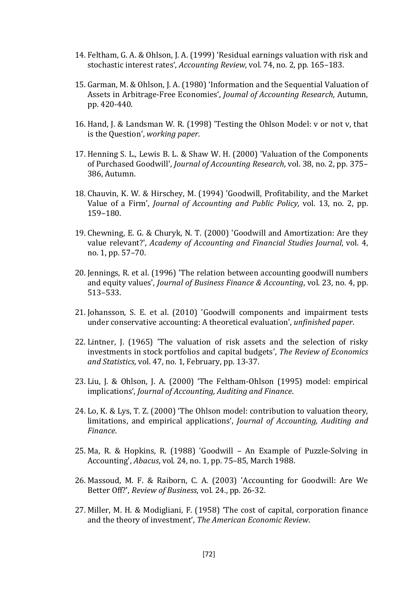- 14. Feltham, G. A. & Ohlson, J. A. (1999) 'Residual earnings valuation with risk and stochastic interest rates', *Accounting Review*, vol. 74, no. 2, pp. 165–183.
- 15. Garman, M. & Ohlson, J. A. (1980) 'Information and the Sequential Valuation of Assets in Arbitrage-Free Economies', *Joumal of Accounting Research*, Autumn, pp. 420-440.
- 16. Hand, J. & Landsman W. R. (1998) 'Testing the Ohlson Model: v or not v, that is the Question', *working paper*.
- 17. Henning S. L., Lewis B. L. & Shaw W. H. (2000) 'Valuation of the Components of Purchased Goodwill', *Journal of Accounting Research*, vol. 38, no. 2, pp. 375– 386, Autumn.
- 18. Chauvin, K. W. & Hirschey, M. (1994) 'Goodwill, Profitability, and the Market Value of a Firm', *Journal of Accounting and Public Policy*, vol. 13, no. 2, pp. 159–180.
- 19. Chewning, E. G. & Churyk, N. T. (2000) 'Goodwill and Amortization: Are they value relevant?', *Academy of Accounting and Financial Studies Journal*, vol. 4, no. 1, pp. 57–70.
- 20. Jennings, R. et al. (1996) 'The relation between accounting goodwill numbers and equity values', *Journal of Business Finance & Accounting*, vol. 23, no. 4, pp. 513–533.
- 21. Johansson, S. E. et al. (2010) 'Goodwill components and impairment tests under conservative accounting: A theoretical evaluation', *unfinished paper*.
- 22. Lintner, J. (1965) 'The valuation of risk assets and the selection of risky investments in stock portfolios and capital budgets', *The Review of Economics and Statistics*, vol. 47, no. 1, February, pp. 13-37.
- 23. Liu, J. & Ohlson, J. A. (2000) 'The Feltham-Ohlson (1995) model: empirical implications', *Journal of Accounting, Auditing and Finance*.
- 24. Lo, K. & Lys, T. Z. (2000) 'The Ohlson model: contribution to valuation theory, limitations, and empirical applications', *Journal of Accounting, Auditing and Finance*.
- 25. Ma, R. & Hopkins, R. (1988) 'Goodwill An Example of Puzzle-Solving in Accounting', *Abacus*, vol. 24, no. 1, pp. 75–85, March 1988.
- 26. Massoud, M. F. & Raiborn, C. A. (2003) 'Accounting for Goodwill: Are We Better Off?', *Review of Business*, vol. 24., pp. 26-32.
- 27. Miller, M. H. & Modigliani, F. (1958) 'The cost of capital, corporation finance and the theory of investment', *The American Economic Review*.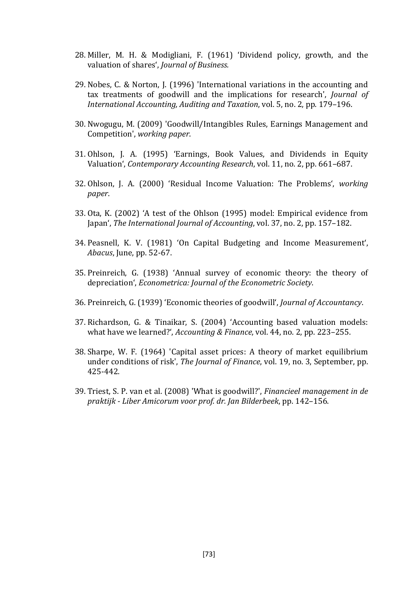- 28. Miller, M. H. & Modigliani, F. (1961) 'Dividend policy, growth, and the valuation of shares', *Journal of Business.*
- 29. Nobes, C. & Norton, J. (1996) 'International variations in the accounting and tax treatments of goodwill and the implications for research', *Journal of International Accounting, Auditing and Taxation*, vol. 5, no. 2, pp. 179–196.
- 30. Nwogugu, M. (2009) 'Goodwill/Intangibles Rules, Earnings Management and Competition', *working paper*.
- 31. Ohlson, J. A. (1995) 'Earnings, Book Values, and Dividends in Equity Valuation', *Contemporary Accounting Research*, vol. 11, no. 2, pp. 661–687.
- 32. Ohlson, J. A. (2000) 'Residual Income Valuation: The Problems', *working paper*.
- 33. Ota, K. (2002) 'A test of the Ohlson (1995) model: Empirical evidence from Japan', *The International Journal of Accounting*, vol. 37, no. 2, pp. 157–182.
- 34. Peasnell, K. V. (1981) 'On Capital Budgeting and Income Measurement', *Abacus*, June, pp. 52-67.
- 35. Preinreich, G. (1938) 'Annual survey of economic theory: the theory of depreciation', *Econometrica: Journal of the Econometric Society*.
- 36. Preinreich, G. (1939) 'Economic theories of goodwill', *Journal of Accountancy*.
- 37. Richardson, G. & Tinaikar, S. (2004) 'Accounting based valuation models: what have we learned?', *Accounting & Finance*, vol. 44, no. 2, pp. 223–255.
- 38. Sharpe, W. F. (1964) 'Capital asset prices: A theory of market equilibrium under conditions of risk', *The Journal of Finance*, vol. 19, no. 3, September, pp. 425-442.
- 39. Triest, S. P. van et al. (2008) 'What is goodwill?', *Financieel management in de praktijk - Liber Amicorum voor prof. dr. Jan Bilderbeek*, pp. 142–156.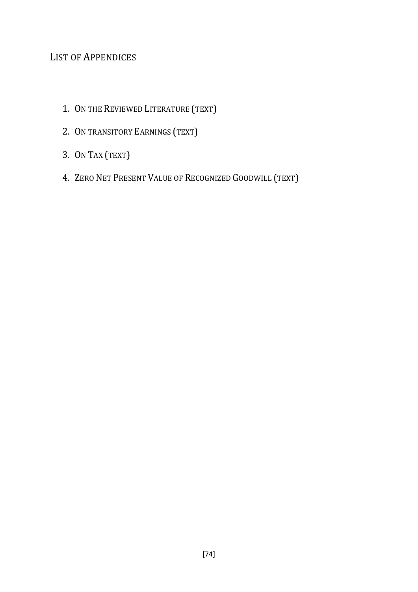# LIST OF APPENDICES

- 1. ON THE REVIEWED LITERATURE (TEXT)
- 2. ON TRANSITORY EARNINGS (TEXT)
- 3. ON TAX (TEXT)
- 4. ZERO NET PRESENT VALUE OF RECOGNIZED GOODWILL (TEXT)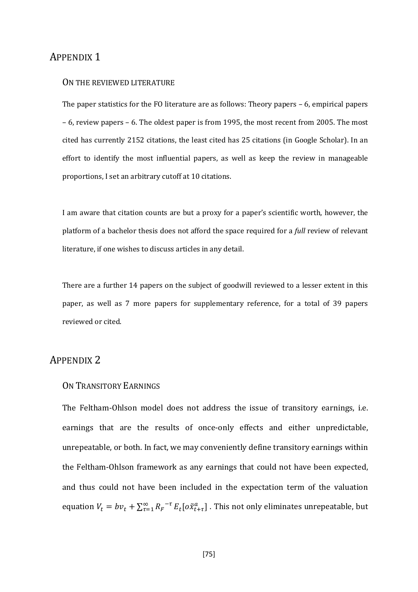## APPENDIX 1

#### ON THE REVIEWED LITERATURE

The paper statistics for the FO literature are as follows: Theory papers – 6, empirical papers – 6, review papers – 6. The oldest paper is from 1995, the most recent from 2005. The most cited has currently 2152 citations, the least cited has 25 citations (in Google Scholar). In an effort to identify the most influential papers, as well as keep the review in manageable proportions, I set an arbitrary cutoff at 10 citations.

I am aware that citation counts are but a proxy for a paper's scientific worth, however, the platform of a bachelor thesis does not afford the space required for a *full* review of relevant literature, if one wishes to discuss articles in any detail.

There are a further 14 papers on the subject of goodwill reviewed to a lesser extent in this paper, as well as 7 more papers for supplementary reference, for a total of 39 papers reviewed or cited.

# APPENDIX 2

## ON TRANSITORY EARNINGS

The Feltham-Ohlson model does not address the issue of transitory earnings, i.e. earnings that are the results of once-only effects and either unpredictable, unrepeatable, or both. In fact, we may conveniently define transitory earnings within the Feltham-Ohlson framework as any earnings that could not have been expected, and thus could not have been included in the expectation term of the valuation equation  $V_t = bv_t + \sum_{\tau=1}^{\infty} R_F^{-\tau} E_t [o\tilde{x}_{t+\tau}^a]$ . This not only eliminates unrepeatable, but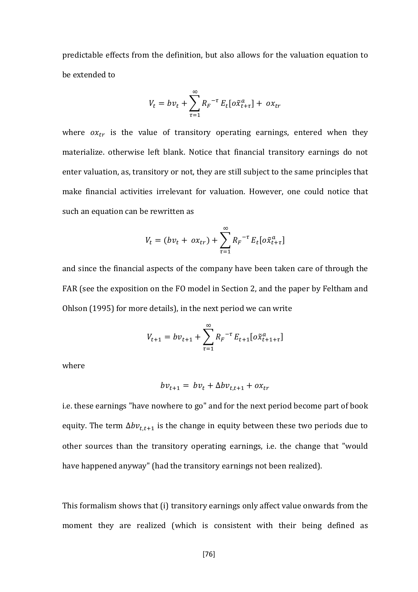predictable effects from the definition, but also allows for the valuation equation to be extended to

$$
V_t = bv_t + \sum_{\tau=1}^{\infty} R_F^{-\tau} E_t [o\tilde{x}_{t+\tau}^a] + ox_{tr}
$$

where  $ox_{tr}$  is the value of transitory operating earnings, entered when they materialize. otherwise left blank. Notice that financial transitory earnings do not enter valuation, as, transitory or not, they are still subject to the same principles that make financial activities irrelevant for valuation. However, one could notice that such an equation can be rewritten as

$$
V_t = (bv_t + ox_{tr}) + \sum_{\tau=1}^{\infty} R_F^{-\tau} E_t [o\tilde{x}_{t+\tau}^a]
$$

and since the financial aspects of the company have been taken care of through the FAR (see the exposition on the FO model in Section 2, and the paper by Feltham and Ohlson (1995) for more details), in the next period we can write

$$
V_{t+1} = bv_{t+1} + \sum_{\tau=1}^{\infty} R_r^{-\tau} E_{t+1} [o\tilde{x}_{t+1+\tau}^a]
$$

where

$$
bv_{t+1} = bv_t + \Delta bv_{t,t+1} + ox_{tr}
$$

i.e. these earnings "have nowhere to go" and for the next period become part of book equity. The term  $\Delta bv_{t,t+1}$  is the change in equity between these two periods due to other sources than the transitory operating earnings, i.e. the change that "would have happened anyway" (had the transitory earnings not been realized).

This formalism shows that (i) transitory earnings only affect value onwards from the moment they are realized (which is consistent with their being defined as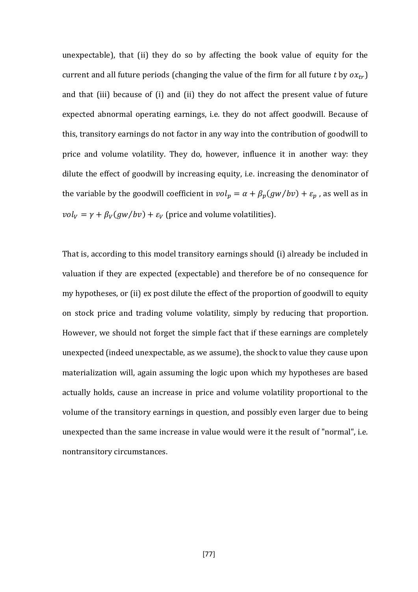unexpectable), that (ii) they do so by affecting the book value of equity for the current and all future periods (changing the value of the firm for all future *t* by  $o x_{tr}$ ) and that (iii) because of (i) and (ii) they do not affect the present value of future expected abnormal operating earnings, i.e. they do not affect goodwill. Because of this, transitory earnings do not factor in any way into the contribution of goodwill to price and volume volatility. They do, however, influence it in another way: they dilute the effect of goodwill by increasing equity, i.e. increasing the denominator of the variable by the goodwill coefficient in  $vol_p = \alpha + \beta_p(gw/bv) + \varepsilon_p$ , as well as in  $vol_V = \gamma + \beta_V(gw/bv) + \varepsilon_V$  (price and volume volatilities).

That is, according to this model transitory earnings should (i) already be included in valuation if they are expected (expectable) and therefore be of no consequence for my hypotheses, or (ii) ex post dilute the effect of the proportion of goodwill to equity on stock price and trading volume volatility, simply by reducing that proportion. However, we should not forget the simple fact that if these earnings are completely unexpected (indeed unexpectable, as we assume), the shock to value they cause upon materialization will, again assuming the logic upon which my hypotheses are based actually holds, cause an increase in price and volume volatility proportional to the volume of the transitory earnings in question, and possibly even larger due to being unexpected than the same increase in value would were it the result of "normal", i.e. nontransitory circumstances.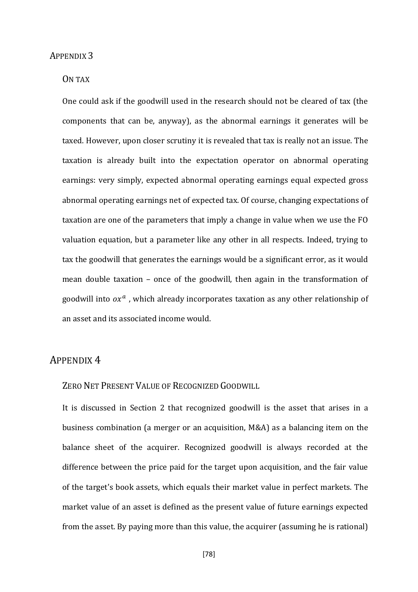#### APPENDIX 3

## ON TAX

One could ask if the goodwill used in the research should not be cleared of tax (the components that can be, anyway), as the abnormal earnings it generates will be taxed. However, upon closer scrutiny it is revealed that tax is really not an issue. The taxation is already built into the expectation operator on abnormal operating earnings: very simply, expected abnormal operating earnings equal expected gross abnormal operating earnings net of expected tax. Of course, changing expectations of taxation are one of the parameters that imply a change in value when we use the FO valuation equation, but a parameter like any other in all respects. Indeed, trying to tax the goodwill that generates the earnings would be a significant error, as it would mean double taxation – once of the goodwill, then again in the transformation of goodwill into  $\alpha x^a$ , which already incorporates taxation as any other relationship of an asset and its associated income would.

## APPENDIX 4

## ZERO NET PRESENT VALUE OF RECOGNIZED GOODWILL

It is discussed in Section 2 that recognized goodwill is the asset that arises in a business combination (a merger or an acquisition, M&A) as a balancing item on the balance sheet of the acquirer. Recognized goodwill is always recorded at the difference between the price paid for the target upon acquisition, and the fair value of the target's book assets, which equals their market value in perfect markets. The market value of an asset is defined as the present value of future earnings expected from the asset. By paying more than this value, the acquirer (assuming he is rational)